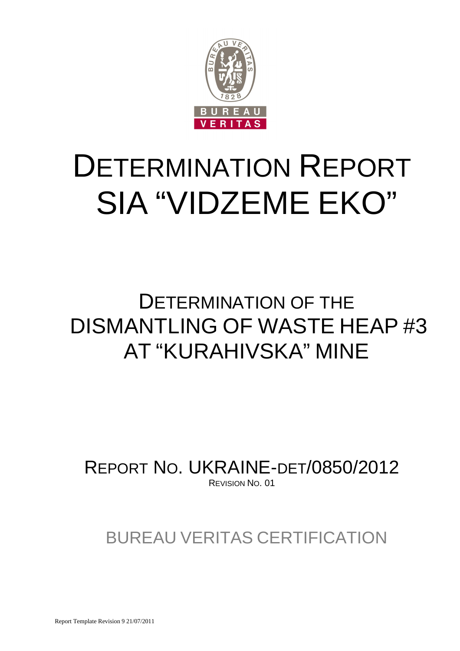

# DETERMINATION REPORT SIA "VIDZEME EKO"

## DETERMINATION OF THE DISMANTLING OF WASTE HEAP #3 AT "KURAHIVSKA" MINE

REPORT NO. UKRAINE-DET/0850/2012 REVISION NO. 01

BUREAU VERITAS CERTIFICATION

Report Template Revision 9 21/07/2011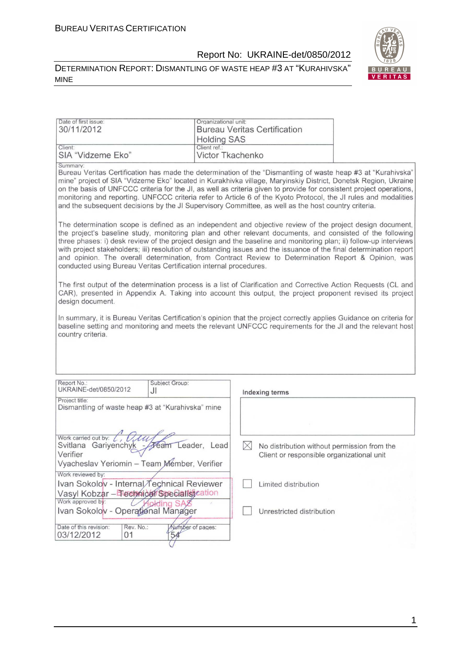#### DETERMINATION REPORT: DISMANTLING OF WASTE HEAP #3 AT "KURAHIVSKA" MINE



| Date of first issue:<br>30/11/2012                                                                            | Organizational unit:<br><b>Holding SAS</b> | <b>Bureau Veritas Certification</b>                                                                                                                                                                                                                                                                                                                                                                                                                                                                                                                                             |  |
|---------------------------------------------------------------------------------------------------------------|--------------------------------------------|---------------------------------------------------------------------------------------------------------------------------------------------------------------------------------------------------------------------------------------------------------------------------------------------------------------------------------------------------------------------------------------------------------------------------------------------------------------------------------------------------------------------------------------------------------------------------------|--|
| Client:<br>SIA "Vidzeme Eko"                                                                                  | Client ref.:                               | Victor Tkachenko                                                                                                                                                                                                                                                                                                                                                                                                                                                                                                                                                                |  |
| Summary:                                                                                                      |                                            | Bureau Veritas Certification has made the determination of the "Dismantling of waste heap #3 at "Kurahivska"<br>mine" project of SIA "Vidzeme Eko" located in Kurakhivka village, Maryinskiy District, Donetsk Region, Ukraine<br>on the basis of UNFCCC criteria for the JI, as well as criteria given to provide for consistent project operations,<br>monitoring and reporting. UNFCCC criteria refer to Article 6 of the Kyoto Protocol, the JI rules and modalities<br>and the subsequent decisions by the JI Supervisory Committee, as well as the host country criteria. |  |
| conducted using Bureau Veritas Certification internal procedures.                                             |                                            | The determination scope is defined as an independent and objective review of the project design document,<br>the project's baseline study, monitoring plan and other relevant documents, and consisted of the following<br>three phases: i) desk review of the project design and the baseline and monitoring plan; ii) follow-up interviews<br>with project stakeholders; iii) resolution of outstanding issues and the issuance of the final determination report<br>and opinion. The overall determination, from Contract Review to Determination Report & Opinion, was      |  |
| design document.                                                                                              |                                            | The first output of the determination process is a list of Clarification and Corrective Action Requests (CL and<br>CAR), presented in Appendix A. Taking into account this output, the project proponent revised its project                                                                                                                                                                                                                                                                                                                                                    |  |
| country criteria.                                                                                             |                                            | In summary, it is Bureau Veritas Certification's opinion that the project correctly applies Guidance on criteria for<br>baseline setting and monitoring and meets the relevant UNFCCC requirements for the JI and the relevant host                                                                                                                                                                                                                                                                                                                                             |  |
|                                                                                                               |                                            |                                                                                                                                                                                                                                                                                                                                                                                                                                                                                                                                                                                 |  |
| Report No.:<br>UKRAINE-det/0850/2012                                                                          | Subject Group:<br>JI                       | Indexing terms                                                                                                                                                                                                                                                                                                                                                                                                                                                                                                                                                                  |  |
| Project title:<br>Dismantling of waste heap #3 at "Kurahivska" mine                                           |                                            |                                                                                                                                                                                                                                                                                                                                                                                                                                                                                                                                                                                 |  |
|                                                                                                               |                                            |                                                                                                                                                                                                                                                                                                                                                                                                                                                                                                                                                                                 |  |
| Work carried out by:<br>Svitlana Gariyenchyk -<br>Verifier<br>Vyacheslav Yeriomin - Team Member, Verifier     | Leader, Lead<br>ream                       | IХ<br>No distribution without permission from the<br>Client or responsible organizational unit                                                                                                                                                                                                                                                                                                                                                                                                                                                                                  |  |
| Work reviewed by:<br>Ivan Sokolov - Internal Technical Reviewer<br>Vasyl Kobzar - Technical Specialist cation |                                            | Limited distribution                                                                                                                                                                                                                                                                                                                                                                                                                                                                                                                                                            |  |
| Work approved by:<br>Ivan Sokolov - Operational Manager                                                       | olding SA                                  | Unrestricted distribution                                                                                                                                                                                                                                                                                                                                                                                                                                                                                                                                                       |  |
| Date of this revision:<br>Rev. No.:<br>03/12/2012<br>01                                                       | Number of pages:<br>54                     |                                                                                                                                                                                                                                                                                                                                                                                                                                                                                                                                                                                 |  |

 $\sigma$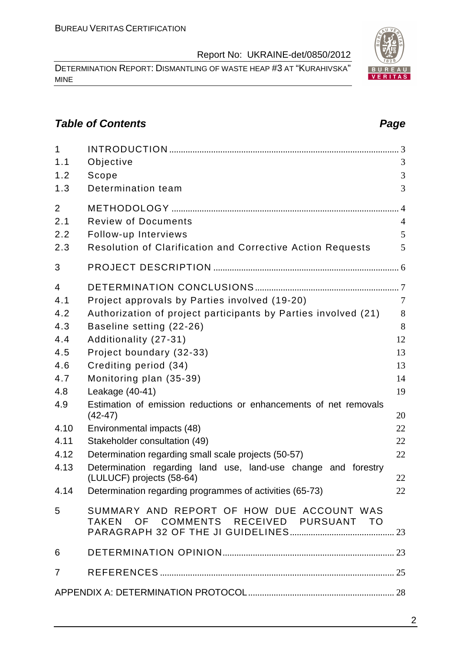DETERMINATION REPORT: DISMANTLING OF WASTE HEAP #3 AT "KURAHIVSKA" MINE

#### **Table of Contents Page 2014**

| $\mathbf{1}$   |                                                                                     |                |
|----------------|-------------------------------------------------------------------------------------|----------------|
| 1.1            | Objective                                                                           | 3              |
| 1.2            | Scope                                                                               | 3              |
| 1.3            | Determination team                                                                  | 3              |
| $\overline{2}$ |                                                                                     |                |
| 2.1            | <b>Review of Documents</b>                                                          | $\overline{4}$ |
| 2.2            | Follow-up Interviews                                                                | 5              |
| 2.3            | Resolution of Clarification and Corrective Action Requests                          | 5              |
| 3              |                                                                                     |                |
| $\overline{4}$ |                                                                                     |                |
| 4.1            | Project approvals by Parties involved (19-20)                                       | $\overline{7}$ |
| 4.2            | Authorization of project participants by Parties involved (21)                      | 8              |
| 4.3            | Baseline setting (22-26)                                                            | 8              |
| 4.4            | Additionality (27-31)                                                               | 12             |
| 4.5            | Project boundary (32-33)                                                            | 13             |
| 4.6            | Crediting period (34)                                                               | 13             |
| 4.7            | Monitoring plan (35-39)                                                             | 14             |
| 4.8            | Leakage (40-41)                                                                     | 19             |
| 4.9            | Estimation of emission reductions or enhancements of net removals<br>$(42-47)$      | 20             |
| 4.10           | Environmental impacts (48)                                                          | 22             |
| 4.11           | Stakeholder consultation (49)                                                       | 22             |
| 4.12           | Determination regarding small scale projects (50-57)                                | 22             |
| 4.13           | Determination regarding land use, land-use change and forestry                      |                |
|                | (LULUCF) projects (58-64)                                                           | 22             |
| 4.14           | Determination regarding programmes of activities (65-73)                            | 22             |
| 5              | SUMMARY AND REPORT OF HOW DUE ACCOUNT WAS<br>TAKEN OF COMMENTS RECEIVED PURSUANT TO |                |
|                |                                                                                     |                |
| 6              |                                                                                     |                |
| $\overline{7}$ |                                                                                     |                |
|                |                                                                                     |                |

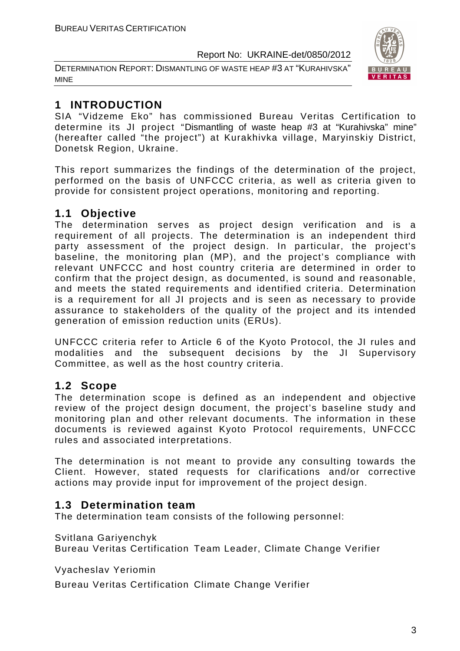DETERMINATION REPORT: DISMANTLING OF WASTE HEAP #3 AT "KURAHIVSKA" MINE



#### **1 INTRODUCTION**

SIA "Vidzeme Eko" has commissioned Bureau Veritas Certification to determine its JI project "Dismantling of waste heap #3 at "Kurahivska" mine" (hereafter called "the project") at Kurakhivka village, Maryinskiy District, Donetsk Region, Ukraine.

This report summarizes the findings of the determination of the project, performed on the basis of UNFCCC criteria, as well as criteria given to provide for consistent project operations, monitoring and reporting.

#### **1.1 Objective**

The determination serves as project design verification and is a requirement of all projects. The determination is an independent third party assessment of the project design. In particular, the project's baseline, the monitoring plan (MP), and the project's compliance with relevant UNFCCC and host country criteria are determined in order to confirm that the project design, as documented, is sound and reasonable, and meets the stated requirements and identified criteria. Determination is a requirement for all JI projects and is seen as necessary to provide assurance to stakeholders of the quality of the project and its intended generation of emission reduction units (ERUs).

UNFCCC criteria refer to Article 6 of the Kyoto Protocol, the JI rules and modalities and the subsequent decisions by the JI Supervisory Committee, as well as the host country criteria.

#### **1.2 Scope**

The determination scope is defined as an independent and objective review of the project design document, the project's baseline study and monitoring plan and other relevant documents. The information in these documents is reviewed against Kyoto Protocol requirements, UNFCCC rules and associated interpretations.

The determination is not meant to provide any consulting towards the Client. However, stated requests for clarifications and/or corrective actions may provide input for improvement of the project design.

#### **1.3 Determination team**

The determination team consists of the following personnel:

Svitlana Gariyenchyk

Bureau Veritas Certification Team Leader, Climate Change Verifier

Vyacheslav Yeriomin

Bureau Veritas Certification Climate Change Verifier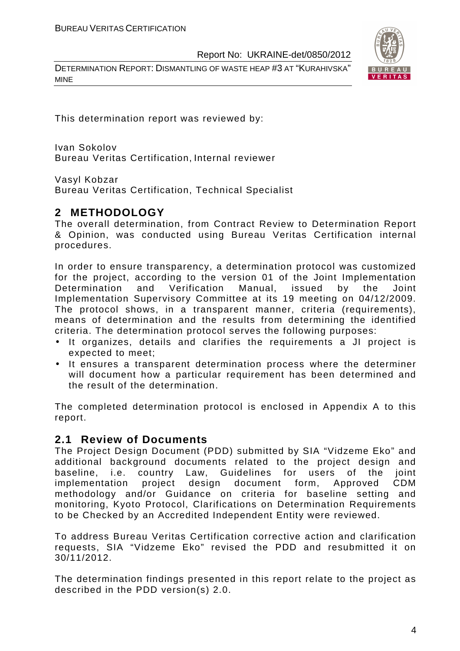DETERMINATION REPORT: DISMANTLING OF WASTE HEAP #3 AT "KURAHIVSKA" MINE



This determination report was reviewed by:

Ivan Sokolov Bureau Veritas Certification, Internal reviewer

Vasyl Kobzar

Bureau Veritas Certification, Technical Specialist

#### **2 METHODOLOGY**

The overall determination, from Contract Review to Determination Report & Opinion, was conducted using Bureau Veritas Certification internal procedures.

In order to ensure transparency, a determination protocol was customized for the project, according to the version 01 of the Joint Implementation Determination and Verification Manual, issued by the Joint Implementation Supervisory Committee at its 19 meeting on 04/12/2009. The protocol shows, in a transparent manner, criteria (requirements), means of determination and the results from determining the identified criteria. The determination protocol serves the following purposes:

- It organizes, details and clarifies the requirements a JI project is expected to meet;
- It ensures a transparent determination process where the determiner will document how a particular requirement has been determined and the result of the determination.

The completed determination protocol is enclosed in Appendix A to this report.

#### **2.1 Review of Documents**

The Project Design Document (PDD) submitted by SIA "Vidzeme Eko" and additional background documents related to the project design and baseline, i.e. country Law, Guidelines for users of the joint implementation project design document form, Approved CDM methodology and/or Guidance on criteria for baseline setting and monitoring, Kyoto Protocol, Clarifications on Determination Requirements to be Checked by an Accredited Independent Entity were reviewed.

To address Bureau Veritas Certification corrective action and clarification requests, SIA "Vidzeme Eko" revised the PDD and resubmitted it on 30/11/2012.

The determination findings presented in this report relate to the project as described in the PDD version(s) 2.0.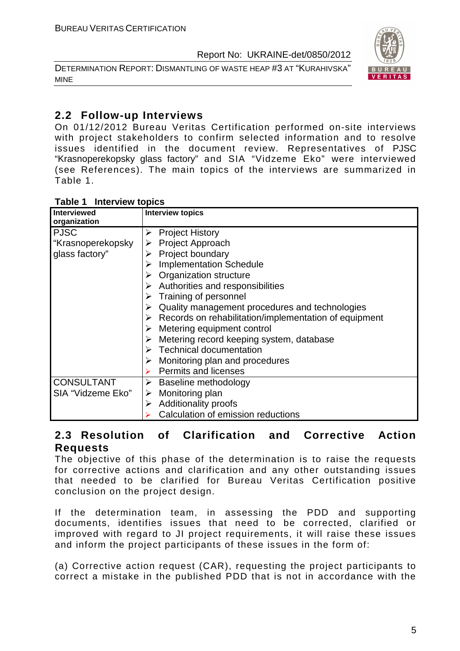DETERMINATION REPORT: DISMANTLING OF WASTE HEAP #3 AT "KURAHIVSKA" MINE



#### **2.2 Follow-up Interviews**

On 01/12/2012 Bureau Veritas Certification performed on-site interviews with project stakeholders to confirm selected information and to resolve issues identified in the document review. Representatives of PJSC "Krasnoperekopsky glass factory" and SIA "Vidzeme Eko" were interviewed (see References). The main topics of the interviews are summarized in Table 1.

| <b>Interview topics</b><br>Table 1 |  |
|------------------------------------|--|
|------------------------------------|--|

| <b>Interviewed</b><br>organization | <b>Interview topics</b>                                                |
|------------------------------------|------------------------------------------------------------------------|
| <b>PJSC</b>                        | <b>Project History</b>                                                 |
| "Krasnoperekopsky                  | Project Approach                                                       |
| glass factory"                     | Project boundary                                                       |
|                                    | <b>Implementation Schedule</b>                                         |
|                                    | Organization structure                                                 |
|                                    | $\triangleright$ Authorities and responsibilities                      |
|                                    | Training of personnel                                                  |
|                                    | Quality management procedures and technologies                         |
|                                    | $\triangleright$ Records on rehabilitation/implementation of equipment |
|                                    | $\triangleright$ Metering equipment control                            |
|                                    | Metering record keeping system, database                               |
|                                    | $\triangleright$ Technical documentation                               |
|                                    | Monitoring plan and procedures                                         |
|                                    | <b>Permits and licenses</b>                                            |
| <b>CONSULTANT</b>                  | Baseline methodology                                                   |
| SIA "Vidzeme Eko"                  | Monitoring plan<br>➤                                                   |
|                                    | <b>Additionality proofs</b><br>➤                                       |
|                                    | Calculation of emission reductions                                     |

#### **2.3 Resolution of Clarification and Corrective Action Requests**

The objective of this phase of the determination is to raise the requests for corrective actions and clarification and any other outstanding issues that needed to be clarified for Bureau Veritas Certification positive conclusion on the project design.

If the determination team, in assessing the PDD and supporting documents, identifies issues that need to be corrected, clarified or improved with regard to JI project requirements, it will raise these issues and inform the project participants of these issues in the form of:

(a) Corrective action request (CAR), requesting the project participants to correct a mistake in the published PDD that is not in accordance with the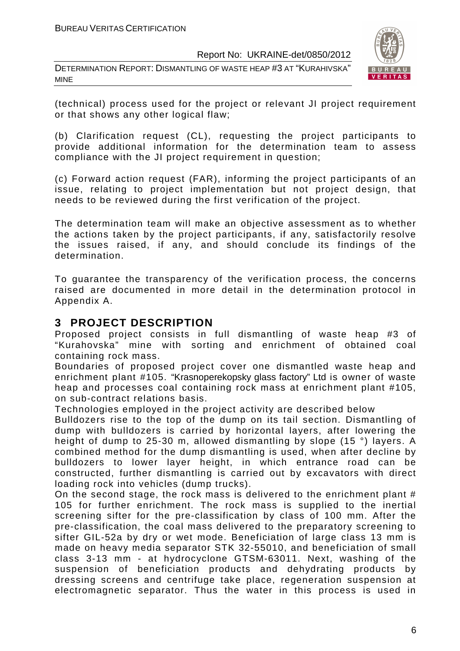DETERMINATION REPORT: DISMANTLING OF WASTE HEAP #3 AT "KURAHIVSKA" MINE



(technical) process used for the project or relevant JI project requirement or that shows any other logical flaw;

(b) Clarification request (CL), requesting the project participants to provide additional information for the determination team to assess compliance with the JI project requirement in question;

(c) Forward action request (FAR), informing the project participants of an issue, relating to project implementation but not project design, that needs to be reviewed during the first verification of the project.

The determination team will make an objective assessment as to whether the actions taken by the project participants, if any, satisfactorily resolve the issues raised, if any, and should conclude its findings of the determination.

To guarantee the transparency of the verification process, the concerns raised are documented in more detail in the determination protocol in Appendix A.

#### **3 PROJECT DESCRIPTION**

Proposed project consists in full dismantling of waste heap #3 of "Kurahovska" mine with sorting and enrichment of obtained coal containing rock mass.

Boundaries of proposed project cover one dismantled waste heap and enrichment plant #105. "Krasnoperekopsky glass factory" Ltd is owner of waste heap and processes coal containing rock mass at enrichment plant #105, on sub-contract relations basis.

Technologies employed in the project activity are described below

Bulldozers rise to the top of the dump on its tail section. Dismantling of dump with bulldozers is carried by horizontal layers, after lowering the height of dump to 25-30 m, allowed dismantling by slope (15 °) layers. A combined method for the dump dismantling is used, when after decline by bulldozers to lower layer height, in which entrance road can be constructed, further dismantling is carried out by excavators with direct loading rock into vehicles (dump trucks).

On the second stage, the rock mass is delivered to the enrichment plant # 105 for further enrichment. The rock mass is supplied to the inertial screening sifter for the pre-classification by class of 100 mm. After the pre-classification, the coal mass delivered to the preparatory screening to sifter GIL-52a by dry or wet mode. Beneficiation of large class 13 mm is made on heavy media separator STK 32-55010, and beneficiation of small class 3-13 mm - at hydrocyclone GTSM-63011. Next, washing of the suspension of beneficiation products and dehydrating products by dressing screens and centrifuge take place, regeneration suspension at electromagnetic separator. Thus the water in this process is used in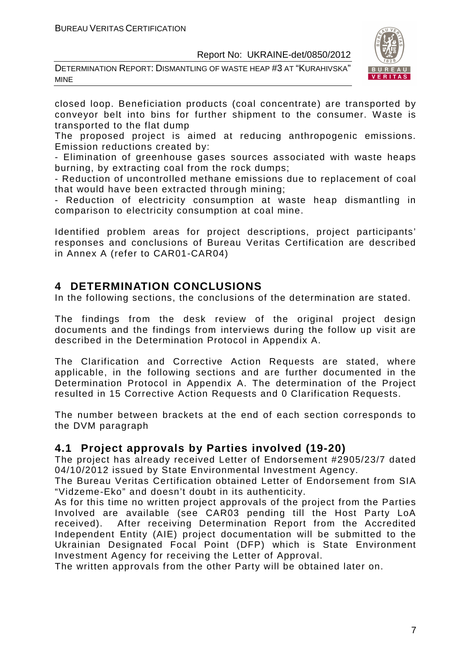DETERMINATION REPORT: DISMANTLING OF WASTE HEAP #3 AT "KURAHIVSKA" MINE



closed loop. Beneficiation products (coal concentrate) are transported by conveyor belt into bins for further shipment to the consumer. Waste is transported to the flat dump

The proposed project is aimed at reducing anthropogenic emissions. Emission reductions created by:

- Elimination of greenhouse gases sources associated with waste heaps burning, by extracting coal from the rock dumps;

- Reduction of uncontrolled methane emissions due to replacement of coal that would have been extracted through mining;

- Reduction of electricity consumption at waste heap dismantling in comparison to electricity consumption at coal mine.

Identified problem areas for project descriptions, project participants' responses and conclusions of Bureau Veritas Certification are described in Annex A (refer to CAR01-CAR04)

#### **4 DETERMINATION CONCLUSIONS**

In the following sections, the conclusions of the determination are stated.

The findings from the desk review of the original project design documents and the findings from interviews during the follow up visit are described in the Determination Protocol in Appendix A.

The Clarification and Corrective Action Requests are stated, where applicable, in the following sections and are further documented in the Determination Protocol in Appendix A. The determination of the Project resulted in 15 Corrective Action Requests and 0 Clarification Requests.

The number between brackets at the end of each section corresponds to the DVM paragraph

#### **4.1 Project approvals by Parties involved (19-20)**

The project has already received Letter of Endorsement #2905/23/7 dated 04/10/2012 issued by State Environmental Investment Agency.

The Bureau Veritas Certification obtained Letter of Endorsement from SIA "Vidzeme-Eko" and doesn't doubt in its authenticity.

As for this time no written project approvals of the project from the Parties Involved are available (see CAR03 pending till the Host Party LoA received). After receiving Determination Report from the Accredited Independent Entity (AIE) project documentation will be submitted to the Ukrainian Designated Focal Point (DFP) which is State Environment Investment Agency for receiving the Letter of Approval.

The written approvals from the other Party will be obtained later on.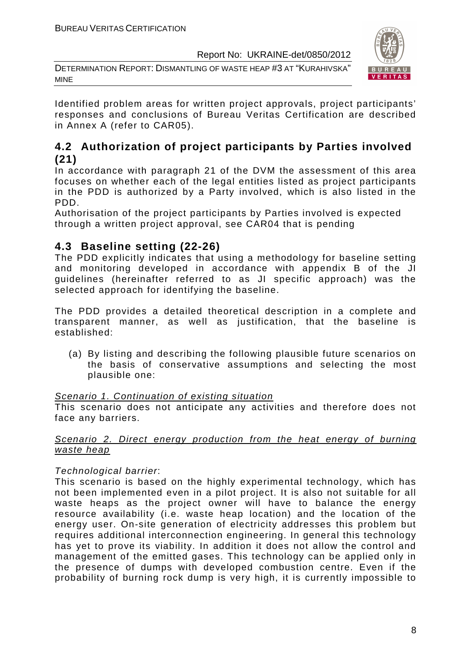DETERMINATION REPORT: DISMANTLING OF WASTE HEAP #3 AT "KURAHIVSKA" MINE



Identified problem areas for written project approvals, project participants' responses and conclusions of Bureau Veritas Certification are described in Annex A (refer to CAR05).

#### **4.2 Authorization of project participants by Parties involved (21)**

In accordance with paragraph 21 of the DVM the assessment of this area focuses on whether each of the legal entities listed as project participants in the PDD is authorized by a Party involved, which is also listed in the PDD.

Authorisation of the project participants by Parties involved is expected through a written project approval, see CAR04 that is pending

#### **4.3 Baseline setting (22-26)**

The PDD explicitly indicates that using a methodology for baseline setting and monitoring developed in accordance with appendix B of the JI guidelines (hereinafter referred to as JI specific approach) was the selected approach for identifying the baseline.

The PDD provides a detailed theoretical description in a complete and transparent manner, as well as justification, that the baseline is established:

(a) By listing and describing the following plausible future scenarios on the basis of conservative assumptions and selecting the most plausible one:

#### Scenario 1. Continuation of existing situation

This scenario does not anticipate any activities and therefore does not face any barriers.

#### Scenario 2. Direct energy production from the heat energy of burning waste heap

#### Technological barrier:

This scenario is based on the highly experimental technology, which has not been implemented even in a pilot project. It is also not suitable for all waste heaps as the project owner will have to balance the energy resource availability (i.e. waste heap location) and the location of the energy user. On-site generation of electricity addresses this problem but requires additional interconnection engineering. In general this technology has yet to prove its viability. In addition it does not allow the control and management of the emitted gases. This technology can be applied only in the presence of dumps with developed combustion centre. Even if the probability of burning rock dump is very high, it is currently impossible to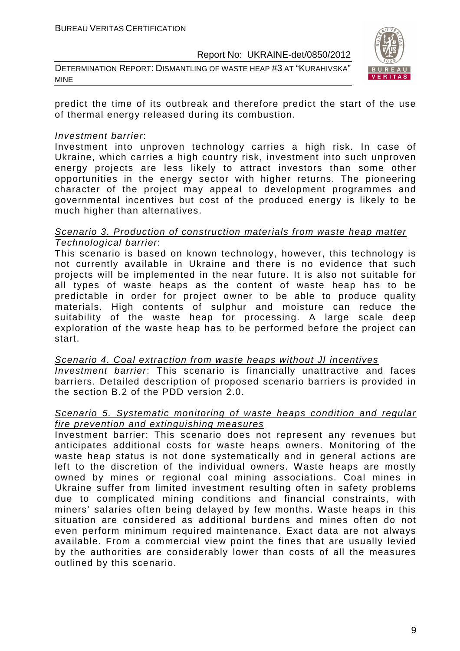DETERMINATION REPORT: DISMANTLING OF WASTE HEAP #3 AT "KURAHIVSKA" MINE



predict the time of its outbreak and therefore predict the start of the use of thermal energy released during its combustion.

#### Investment barrier:

Investment into unproven technology carries a high risk. In case of Ukraine, which carries a high country risk, investment into such unproven energy projects are less likely to attract investors than some other opportunities in the energy sector with higher returns. The pioneering character of the project may appeal to development programmes and governmental incentives but cost of the produced energy is likely to be much higher than alternatives.

#### Scenario 3. Production of construction materials from waste heap matter Technological barrier:

This scenario is based on known technology, however, this technology is not currently available in Ukraine and there is no evidence that such projects will be implemented in the near future. It is also not suitable for all types of waste heaps as the content of waste heap has to be predictable in order for project owner to be able to produce quality materials. High contents of sulphur and moisture can reduce the suitability of the waste heap for processing. A large scale deep exploration of the waste heap has to be performed before the project can start.

Scenario 4. Coal extraction from waste heaps without JI incentives Investment barrier: This scenario is financially unattractive and faces barriers. Detailed description of proposed scenario barriers is provided in the section B.2 of the PDD version 2.0.

#### Scenario 5. Systematic monitoring of waste heaps condition and regular fire prevention and extinguishing measures

Investment barrier: This scenario does not represent any revenues but anticipates additional costs for waste heaps owners. Monitoring of the waste heap status is not done systematically and in general actions are left to the discretion of the individual owners. Waste heaps are mostly owned by mines or regional coal mining associations. Coal mines in Ukraine suffer from limited investment resulting often in safety problems due to complicated mining conditions and financial constraints, with miners' salaries often being delayed by few months. Waste heaps in this situation are considered as additional burdens and mines often do not even perform minimum required maintenance. Exact data are not always available. From a commercial view point the fines that are usually levied by the authorities are considerably lower than costs of all the measures outlined by this scenario.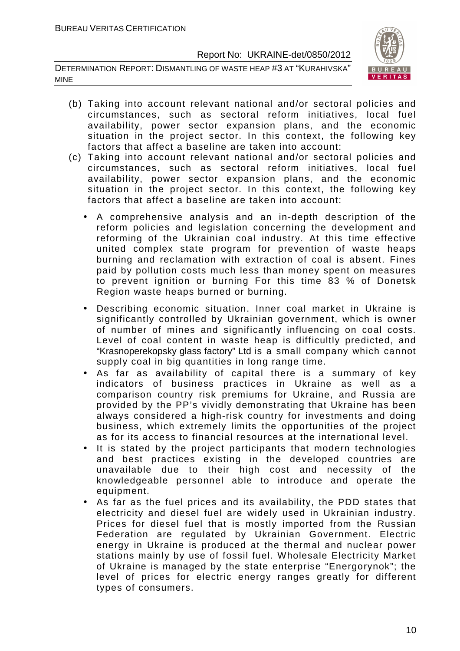DETERMINATION REPORT: DISMANTLING OF WASTE HEAP #3 AT "KURAHIVSKA" MINE



- (b) Taking into account relevant national and/or sectoral policies and circumstances, such as sectoral reform initiatives, local fuel availability, power sector expansion plans, and the economic situation in the project sector. In this context, the following key factors that affect a baseline are taken into account:
- (c) Taking into account relevant national and/or sectoral policies and circumstances, such as sectoral reform initiatives, local fuel availability, power sector expansion plans, and the economic situation in the project sector. In this context, the following key factors that affect a baseline are taken into account:
	- A comprehensive analysis and an in-depth description of the reform policies and legislation concerning the development and reforming of the Ukrainian coal industry. At this time effective united complex state program for prevention of waste heaps burning and reclamation with extraction of coal is absent. Fines paid by pollution costs much less than money spent on measures to prevent ignition or burning For this time 83 % of Donetsk Region waste heaps burned or burning.
	- Describing economic situation. Inner coal market in Ukraine is significantly controlled by Ukrainian government, which is owner of number of mines and significantly influencing on coal costs. Level of coal content in waste heap is difficultly predicted, and "Krasnoperekopsky glass factory" Ltd is a small company which cannot supply coal in big quantities in long range time.
	- As far as availability of capital there is a summary of key indicators of business practices in Ukraine as well as a comparison country risk premiums for Ukraine, and Russia are provided by the PP's vividly demonstrating that Ukraine has been always considered a high-risk country for investments and doing business, which extremely limits the opportunities of the project as for its access to financial resources at the international level.
	- It is stated by the project participants that modern technologies and best practices existing in the developed countries are unavailable due to their high cost and necessity of the knowledgeable personnel able to introduce and operate the equipment.
	- As far as the fuel prices and its availability, the PDD states that electricity and diesel fuel are widely used in Ukrainian industry. Prices for diesel fuel that is mostly imported from the Russian Federation are regulated by Ukrainian Government. Electric energy in Ukraine is produced at the thermal and nuclear power stations mainly by use of fossil fuel. Wholesale Electricity Market of Ukraine is managed by the state enterprise "Energorynok"; the level of prices for electric energy ranges greatly for different types of consumers.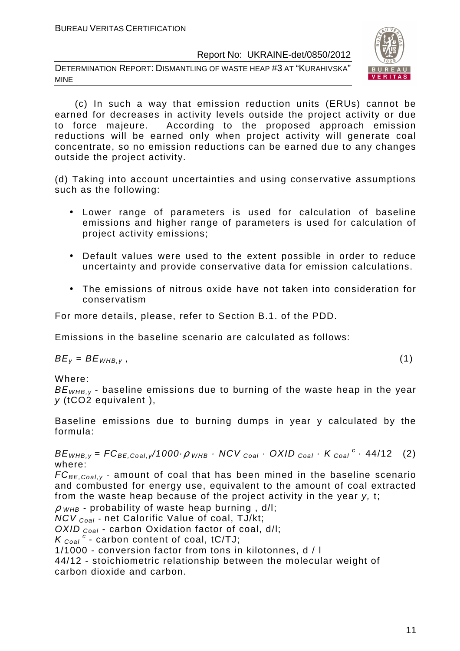DETERMINATION REPORT: DISMANTLING OF WASTE HEAP #3 AT "KURAHIVSKA" MINE



 (c) In such a way that emission reduction units (ERUs) cannot be earned for decreases in activity levels outside the project activity or due to force majeure. According to the proposed approach emission reductions will be earned only when project activity will generate coal concentrate, so no emission reductions can be earned due to any changes outside the project activity.

(d) Taking into account uncertainties and using conservative assumptions such as the following:

- Lower range of parameters is used for calculation of baseline emissions and higher range of parameters is used for calculation of project activity emissions;
- Default values were used to the extent possible in order to reduce uncertainty and provide conservative data for emission calculations.
- The emissions of nitrous oxide have not taken into consideration for conservatism

For more details, please, refer to Section B.1. of the PDD.

Emissions in the baseline scenario are calculated as follows:

 $BE_v = BE_{WHB,v}$ , (1)

Where:

 $BE<sub>WHB,V</sub>$  - baseline emissions due to burning of the waste heap in the year y (tCO2 equivalent ),

Baseline emissions due to burning dumps in year y calculated by the formula:

 $BE_{WHB,y} = FC_{BE,Coal,y}/1000 \cdot \rho$  whb  $\cdot$  NCV  $_{Coal} \cdot$  OXID  $_{Coal} \cdot K_{Coal}^c \cdot 44/12$  (2) where:

 $FC_{BE, coal,v}$  - amount of coal that has been mined in the baseline scenario and combusted for energy use, equivalent to the amount of coal extracted from the waste heap because of the project activity in the year y, t;

 $\rho$  <sub>WHB</sub> - probability of waste heap burning, d/l;

 $NCV_{Coal}$  - net Calorific Value of coal, TJ/kt;

OXID  $_{Coal}$  - carbon Oxidation factor of coal, d/l;

 $K_{\text{Coal}}^c$  - carbon content of coal, tC/TJ;

1/1000 - conversion factor from tons in kilotonnes, d / l

44/12 - stoichiometric relationship between the molecular weight of carbon dioxide and carbon.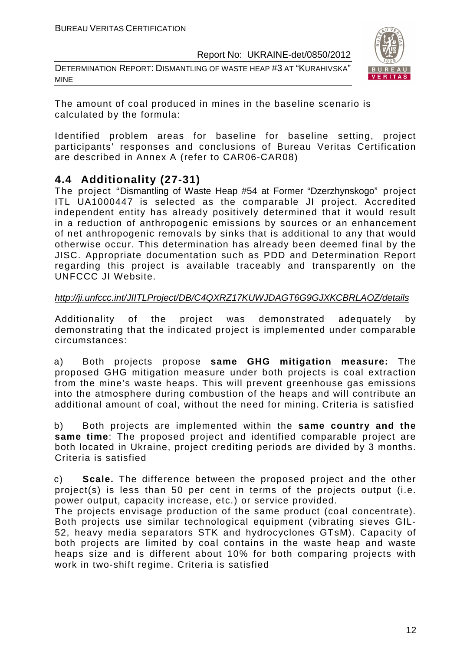DETERMINATION REPORT: DISMANTLING OF WASTE HEAP #3 AT "KURAHIVSKA" MINE



The amount of coal produced in mines in the baseline scenario is calculated by the formula:

Identified problem areas for baseline for baseline setting, project participants' responses and conclusions of Bureau Veritas Certification are described in Annex A (refer to CAR06-CAR08)

#### **4.4 Additionality (27-31)**

The project "Dismantling of Waste Heap #54 at Former "Dzerzhynskogo" project ITL UA1000447 is selected as the comparable JI project. Accredited independent entity has already positively determined that it would result in a reduction of anthropogenic emissions by sources or an enhancement of net anthropogenic removals by sinks that is additional to any that would otherwise occur. This determination has already been deemed final by the JISC. Appropriate documentation such as PDD and Determination Report regarding this project is available traceably and transparently on the UNFCCC JI Website.

#### http://ji.unfccc.int/JIITLProject/DB/C4QXRZ17KUWJDAGT6G9GJXKCBRLAOZ/details

Additionality of the project was demonstrated adequately by demonstrating that the indicated project is implemented under comparable circumstances:

a) Both projects propose **same GHG mitigation measure:** The proposed GHG mitigation measure under both projects is coal extraction from the mine's waste heaps. This will prevent greenhouse gas emissions into the atmosphere during combustion of the heaps and will contribute an additional amount of coal, without the need for mining. Criteria is satisfied

b) Both projects are implemented within the **same country and the same time**: The proposed project and identified comparable project are both located in Ukraine, project crediting periods are divided by 3 months. Criteria is satisfied

c) **Scale.** The difference between the proposed project and the other project(s) is less than 50 per cent in terms of the projects output (i.e. power output, capacity increase, etc.) or service provided.

The projects envisage production of the same product (coal concentrate). Both projects use similar technological equipment (vibrating sieves GIL-52, heavy media separators STK and hydrocyclones GTsM). Capacity of both projects are limited by coal contains in the waste heap and waste heaps size and is different about 10% for both comparing projects with work in two-shift regime. Criteria is satisfied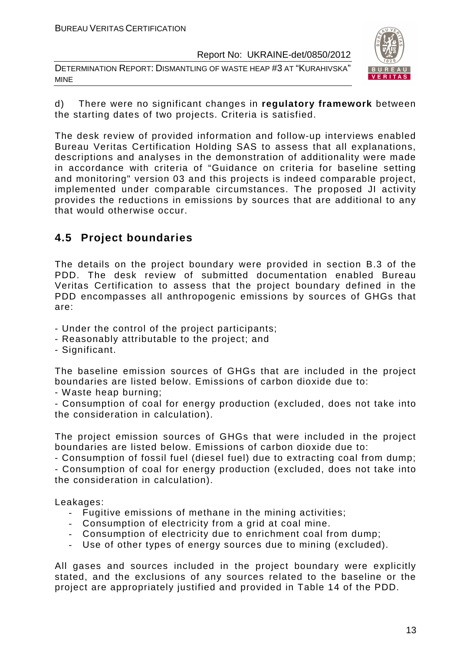DETERMINATION REPORT: DISMANTLING OF WASTE HEAP #3 AT "KURAHIVSKA" MINE



d) There were no significant changes in **regulatory framework** between the starting dates of two projects. Criteria is satisfied.

The desk review of provided information and follow-up interviews enabled Bureau Veritas Certification Holding SAS to assess that all explanations, descriptions and analyses in the demonstration of additionality were made in accordance with criteria of "Guidance on criteria for baseline setting and monitoring" version 03 and this projects is indeed comparable project, implemented under comparable circumstances. The proposed JI activity provides the reductions in emissions by sources that are additional to any that would otherwise occur.

#### **4.5 Project boundaries**

The details on the project boundary were provided in section B.3 of the PDD. The desk review of submitted documentation enabled Bureau Veritas Certification to assess that the project boundary defined in the PDD encompasses all anthropogenic emissions by sources of GHGs that are:

- Under the control of the project participants;
- Reasonably attributable to the project; and
- Significant.

The baseline emission sources of GHGs that are included in the project boundaries are listed below. Emissions of carbon dioxide due to:

- Waste heap burning;

- Consumption of coal for energy production (excluded, does not take into the consideration in calculation).

The project emission sources of GHGs that were included in the project boundaries are listed below. Emissions of carbon dioxide due to:

- Consumption of fossil fuel (diesel fuel) due to extracting coal from dump; - Consumption of coal for energy production (excluded, does not take into the consideration in calculation).

Leakages:

- Fugitive emissions of methane in the mining activities;
- Consumption of electricity from a grid at coal mine.
- Consumption of electricity due to enrichment coal from dump;
- Use of other types of energy sources due to mining (excluded).

All gases and sources included in the project boundary were explicitly stated, and the exclusions of any sources related to the baseline or the project are appropriately justified and provided in Table 14 of the PDD.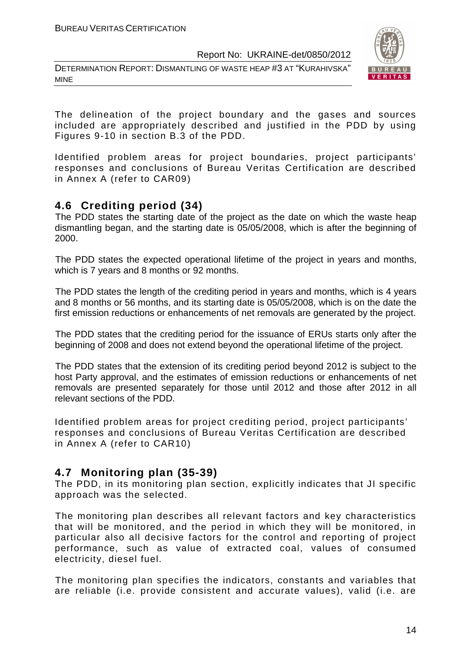DETERMINATION REPORT: DISMANTLING OF WASTE HEAP #3 AT "KURAHIVSKA" MINE



The delineation of the project boundary and the gases and sources included are appropriately described and justified in the PDD by using Figures 9-10 in section B.3 of the PDD.

Identified problem areas for project boundaries, project participants' responses and conclusions of Bureau Veritas Certification are described in Annex A (refer to CAR09)

#### **4.6 Crediting period (34)**

The PDD states the starting date of the project as the date on which the waste heap dismantling began, and the starting date is 05/05/2008, which is after the beginning of 2000.

The PDD states the expected operational lifetime of the project in years and months, which is 7 years and 8 months or 92 months.

The PDD states the length of the crediting period in years and months, which is 4 years and 8 months or 56 months, and its starting date is 05/05/2008, which is on the date the first emission reductions or enhancements of net removals are generated by the project.

The PDD states that the crediting period for the issuance of ERUs starts only after the beginning of 2008 and does not extend beyond the operational lifetime of the project.

The PDD states that the extension of its crediting period beyond 2012 is subject to the host Party approval, and the estimates of emission reductions or enhancements of net removals are presented separately for those until 2012 and those after 2012 in all relevant sections of the PDD.

Identified problem areas for project crediting period, project participants' responses and conclusions of Bureau Veritas Certification are described in Annex A (refer to CAR10)

#### **4.7 Monitoring plan (35-39)**

The PDD, in its monitoring plan section, explicitly indicates that JI specific approach was the selected.

The monitoring plan describes all relevant factors and key characteristics that will be monitored, and the period in which they will be monitored, in particular also all decisive factors for the control and reporting of project performance, such as value of extracted coal, values of consumed electricity, diesel fuel.

The monitoring plan specifies the indicators, constants and variables that are reliable (i.e. provide consistent and accurate values), valid (i.e. are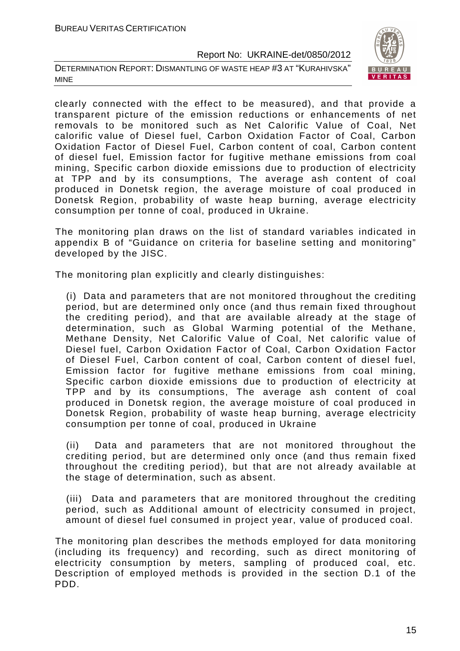DETERMINATION REPORT: DISMANTLING OF WASTE HEAP #3 AT "KURAHIVSKA" MINE



clearly connected with the effect to be measured), and that provide a transparent picture of the emission reductions or enhancements of net removals to be monitored such as Net Calorific Value of Coal, Net calorific value of Diesel fuel, Carbon Oxidation Factor of Coal, Carbon Oxidation Factor of Diesel Fuel, Carbon content of coal, Carbon content of diesel fuel, Emission factor for fugitive methane emissions from coal mining, Specific carbon dioxide emissions due to production of electricity at TPP and by its consumptions, The average ash content of coal produced in Donetsk region, the average moisture of coal produced in Donetsk Region, probability of waste heap burning, average electricity consumption per tonne of coal, produced in Ukraine.

The monitoring plan draws on the list of standard variables indicated in appendix B of "Guidance on criteria for baseline setting and monitoring" developed by the JISC.

The monitoring plan explicitly and clearly distinguishes:

(i) Data and parameters that are not monitored throughout the crediting period, but are determined only once (and thus remain fixed throughout the crediting period), and that are available already at the stage of determination, such as Global Warming potential of the Methane, Methane Density, Net Calorific Value of Coal, Net calorific value of Diesel fuel, Carbon Oxidation Factor of Coal, Carbon Oxidation Factor of Diesel Fuel, Carbon content of coal, Carbon content of diesel fuel, Emission factor for fugitive methane emissions from coal mining, Specific carbon dioxide emissions due to production of electricity at TPP and by its consumptions, The average ash content of coal produced in Donetsk region, the average moisture of coal produced in Donetsk Region, probability of waste heap burning, average electricity consumption per tonne of coal, produced in Ukraine

(ii) Data and parameters that are not monitored throughout the crediting period, but are determined only once (and thus remain fixed throughout the crediting period), but that are not already available at the stage of determination, such as absent.

(iii) Data and parameters that are monitored throughout the crediting period, such as Additional amount of electricity consumed in project, amount of diesel fuel consumed in project year, value of produced coal.

The monitoring plan describes the methods employed for data monitoring (including its frequency) and recording, such as direct monitoring of electricity consumption by meters, sampling of produced coal, etc. Description of employed methods is provided in the section D.1 of the PDD.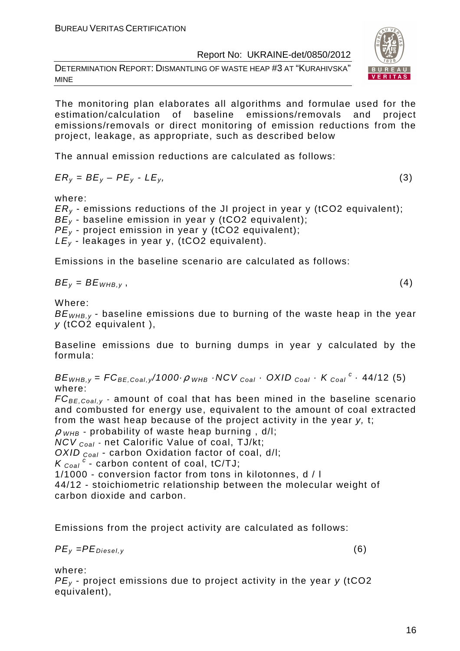DETERMINATION REPORT: DISMANTLING OF WASTE HEAP #3 AT "KURAHIVSKA" MINE

The monitoring plan elaborates all algorithms and formulae used for the estimation/calculation of baseline emissions/removals and project emissions/removals or direct monitoring of emission reductions from the project, leakage, as appropriate, such as described below

The annual emission reductions are calculated as follows:

$$
ER_y = BE_y - PE_y - LE_y,\tag{3}
$$

where:

 $ER<sub>v</sub>$  - emissions reductions of the JI project in year y (tCO2 equivalent);  $BE<sub>v</sub>$  - baseline emission in year y (tCO2 equivalent);  $PE<sub>v</sub>$  - project emission in year y (tCO2 equivalent);  $LE_y$  - leakages in year y, (tCO2 equivalent).

Emissions in the baseline scenario are calculated as follows:

$$
BE_{v} = BE_{WHB,v}
$$

 $BE_y = BE_{WHB,y}$ , (4)

Where:

 $BE<sub>WHB,V</sub>$  - baseline emissions due to burning of the waste heap in the year y (tCO2 equivalent ),

Baseline emissions due to burning dumps in year y calculated by the formula:

 $BE_{WHB,y} = FC_{BE,Coal,y}$ /1000 $\cdot \rho$  whe  $\cdot$  NCV  $_{Coal}$   $\cdot$  OXID  $_{Coal}$   $\cdot$  K  $_{Coal}$   $\cdot$  44/12 (5) where:

 $FC_{BE, coal, y}$  - amount of coal that has been mined in the baseline scenario and combusted for energy use, equivalent to the amount of coal extracted from the wast heap because of the project activity in the year y, t;

 $\rho$  <sub>WHB</sub> - probability of waste heap burning, d/l;

 $NCV_{Coal}$  - net Calorific Value of coal, TJ/kt;

OXID  $_{Coal}$  - carbon Oxidation factor of coal, d/l:

 $K_{\text{Coal}}^c$  - carbon content of coal, tC/TJ;

1/1000 - conversion factor from tons in kilotonnes, d / l

44/12 - stoichiometric relationship between the molecular weight of carbon dioxide and carbon.

Emissions from the project activity are calculated as follows:

$$
PE_{y} = PE_{Diesel,y} \tag{6}
$$

where:

 $PE<sub>v</sub>$  - project emissions due to project activity in the year y (tCO2 equivalent),

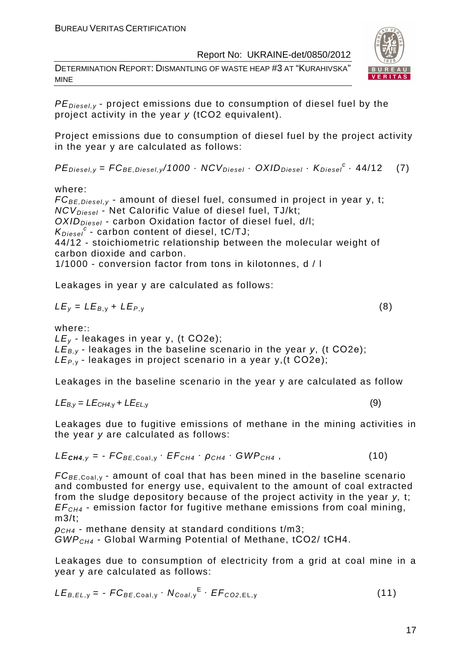DETERMINATION REPORT: DISMANTLING OF WASTE HEAP #3 AT "KURAHIVSKA" MINE



 $PE_{\text{Diesel},v}$  - project emissions due to consumption of diesel fuel by the project activity in the year y (tCO2 equivalent).

Project emissions due to consumption of diesel fuel by the project activity in the year y are calculated as follows:

 $PE_{\text{Diesel}, y} = FC_{BE, \text{Diesel}, y} / 1000 \cdot NCV_{\text{Diesel}} \cdot OXID_{\text{Diesel}} \cdot K_{\text{Diesel}}^c \cdot 44/12$  (7)

where:

 $FC_{BE, Diesel, y}$  - amount of diesel fuel, consumed in project in year y, t;  $NCV_{Diesel}$  - Net Calorific Value of diesel fuel, TJ/kt;  $OXID<sub>Diesel</sub>$  - carbon Oxidation factor of diesel fuel, d/l;  $K_{\text{Diesel}}^c$  - carbon content of diesel, tC/TJ; 44/12 - stoichiometric relationship between the molecular weight of carbon dioxide and carbon. 1/1000 - conversion factor from tons in kilotonnes, d / l

Leakages in year y are calculated as follows:

$$
LE_y = LE_{B,y} + LE_{P,y}
$$
 (8)

where::

 $LE<sub>v</sub>$  - leakages in year y, (t CO2e);  $LE_{B,y}$  - leakages in the baseline scenario in the year y, (t CO2e);  $LE_{P,Y}$ - leakages in project scenario in a year y, (t CO2e);

Leakages in the baseline scenario in the year y are calculated as follow

$$
LE_{B,y} = LE_{CH4,y} + LE_{EL,y}
$$
 (9)

Leakages due to fugitive emissions of methane in the mining activities in the year y are calculated as follows:

$$
LE_{\text{CH4},y} = -FC_{BE, \text{Coal},y} \cdot EF_{CH4} \cdot \rho_{CH4} \cdot GWP_{CH4}, \qquad (10)
$$

 $FC_{BE, coal,v}$  - amount of coal that has been mined in the baseline scenario and combusted for energy use, equivalent to the amount of coal extracted from the sludge depository because of the project activity in the year y, t;  $EF<sub>CH4</sub>$  - emission factor for fugitive methane emissions from coal mining, m3/t;

 $\rho_{CH4}$  - methane density at standard conditions t/m3: GWPCH4 - Global Warming Potential of Methane, tСО2/ tСН4.

Leakages due to consumption of electricity from a grid at coal mine in a year y are calculated as follows:

$$
LE_{B,EL,y} = -FC_{BE,Coal,y} \cdot N_{Coal,y}^{E} \cdot EF_{CO2,EL,y}
$$
 (11)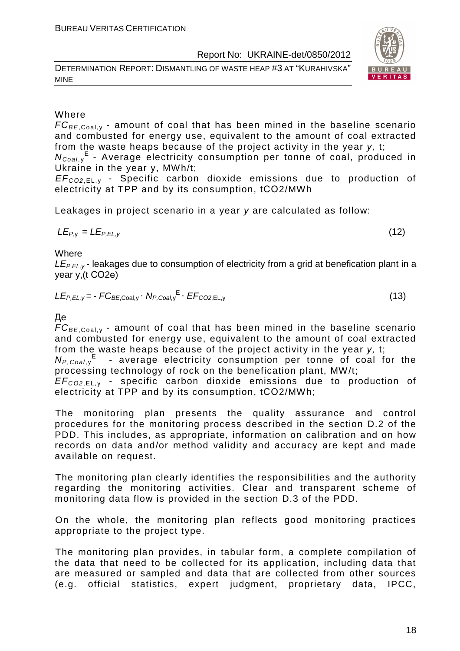DETERMINATION REPORT: DISMANTLING OF WASTE HEAP #3 AT "KURAHIVSKA" MINE





#### Where

 $FC_{BE, coal,v}$  - amount of coal that has been mined in the baseline scenario and combusted for energy use, equivalent to the amount of coal extracted from the waste heaps because of the project activity in the year y, t;

N<sub>Coal,y</sub><sup>E</sup> - Average electricity consumption per tonne of coal, produced in Ukraine in the year y, MWh/t;

EF<sup>C</sup>*О*2,EL, <sup>у</sup> - Specific carbon dioxide emissions due to production of electricity at TPP and by its consumption, tСО2/MWh

Leakages in project scenario in a year y are calculated as follow:

$$
LE_{P,y} = LE_{P,EL,y} \tag{12}
$$

**Where** 

 $LE_{PFLV}$ - leakages due to consumption of electricity from a grid at benefication plant in a year y,(t СО2е)

$$
LE_{P,EL,y} = -FC_{BE,Coal,y} \cdot N_{P,Coal,y}^{E} \cdot EF_{CO2,EL,y}
$$
 (13)

Де

 $FC_{BE,Coal,v}$  - amount of coal that has been mined in the baseline scenario and combusted for energy use, equivalent to the amount of coal extracted from the waste heaps because of the project activity in the year y, t;

 $N_{P,Coal,y}$ <sup>E</sup> - average electricity consumption per tonne of coal for the processing technology of rock on the benefication plant, MW/t;

EF<sup>C</sup>*О*2,EL, <sup>у</sup> - specific carbon dioxide emissions due to production of electricity at TPP and by its consumption, tСО2/MWh;

The monitoring plan presents the quality assurance and control procedures for the monitoring process described in the section D.2 of the PDD. This includes, as appropriate, information on calibration and on how records on data and/or method validity and accuracy are kept and made available on request.

The monitoring plan clearly identifies the responsibilities and the authority regarding the monitoring activities. Clear and transparent scheme of monitoring data flow is provided in the section D.3 of the PDD.

On the whole, the monitoring plan reflects good monitoring practices appropriate to the project type.

The monitoring plan provides, in tabular form, a complete compilation of the data that need to be collected for its application, including data that are measured or sampled and data that are collected from other sources (e.g. official statistics, expert judgment, proprietary data, IPCC,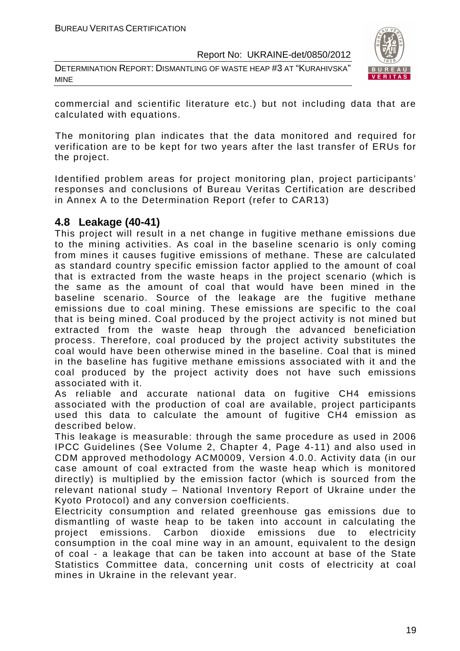DETERMINATION REPORT: DISMANTLING OF WASTE HEAP #3 AT "KURAHIVSKA" MINE



commercial and scientific literature etc.) but not including data that are calculated with equations.

The monitoring plan indicates that the data monitored and required for verification are to be kept for two years after the last transfer of ERUs for the project.

Identified problem areas for project monitoring plan, project participants' responses and conclusions of Bureau Veritas Certification are described in Annex A to the Determination Report (refer to CAR13)

#### **4.8 Leakage (40-41)**

This project will result in a net change in fugitive methane emissions due to the mining activities. As coal in the baseline scenario is only coming from mines it causes fugitive emissions of methane. These are calculated as standard country specific emission factor applied to the amount of coal that is extracted from the waste heaps in the project scenario (which is the same as the amount of coal that would have been mined in the baseline scenario. Source of the leakage are the fugitive methane emissions due to coal mining. These emissions are specific to the coal that is being mined. Coal produced by the project activity is not mined but extracted from the waste heap through the advanced beneficiation process. Therefore, coal produced by the project activity substitutes the coal would have been otherwise mined in the baseline. Coal that is mined in the baseline has fugitive methane emissions associated with it and the coal produced by the project activity does not have such emissions associated with it.

As reliable and accurate national data on fugitive CH4 emissions associated with the production of coal are available, project participants used this data to calculate the amount of fugitive CH4 emission as described below.

This leakage is measurable: through the same procedure as used in 2006 IPCC Guidelines (See Volume 2, Chapter 4, Page 4-11) and also used in CDM approved methodology ACM0009, Version 4.0.0. Activity data (in our case amount of coal extracted from the waste heap which is monitored directly) is multiplied by the emission factor (which is sourced from the relevant national study – National Inventory Report of Ukraine under the Kyoto Protocol) and any conversion coefficients.

Electricity consumption and related greenhouse gas emissions due to dismantling of waste heap to be taken into account in calculating the project emissions. Carbon dioxide emissions due to electricity consumption in the coal mine way in an amount, equivalent to the design of coal - a leakage that can be taken into account at base of the State Statistics Committee data, concerning unit costs of electricity at coal mines in Ukraine in the relevant year.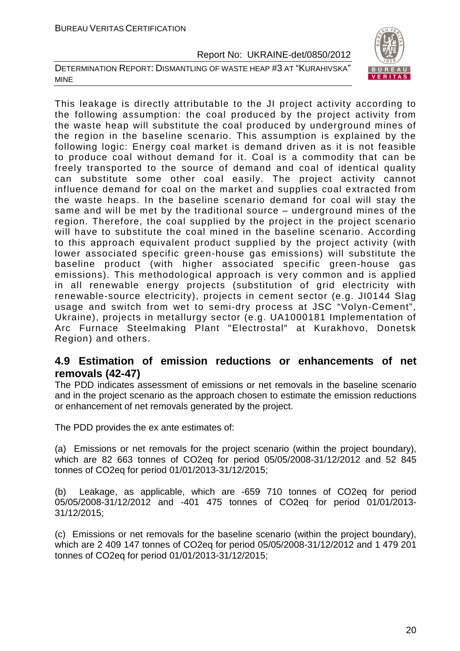DETERMINATION REPORT: DISMANTLING OF WASTE HEAP #3 AT "KURAHIVSKA" MINE



This leakage is directly attributable to the JI project activity according to the following assumption: the coal produced by the project activity from the waste heap will substitute the coal produced by underground mines of the region in the baseline scenario. This assumption is explained by the following logic: Energy coal market is demand driven as it is not feasible to produce coal without demand for it. Coal is a commodity that can be freely transported to the source of demand and coal of identical quality can substitute some other coal easily. The project activity cannot influence demand for coal on the market and supplies coal extracted from the waste heaps. In the baseline scenario demand for coal will stay the same and will be met by the traditional source – underground mines of the region. Therefore, the coal supplied by the project in the project scenario will have to substitute the coal mined in the baseline scenario. According to this approach equivalent product supplied by the project activity (with lower associated specific green-house gas emissions) will substitute the baseline product (with higher associated specific green-house gas emissions). This methodological approach is very common and is applied in all renewable energy projects (substitution of grid electricity with renewable-source electricity), projects in cement sector (e.g. JI0144 Slag usage and switch from wet to semi-dry process at JSC "Volyn-Cement", Ukraine), projects in metallurgy sector (e.g. UA1000181 Implementation of Arc Furnace Steelmaking Plant "Electrostal" at Kurakhovo, Donetsk Region) and others.

#### **4.9 Estimation of emission reductions or enhancements of net removals (42-47)**

The PDD indicates assessment of emissions or net removals in the baseline scenario and in the project scenario as the approach chosen to estimate the emission reductions or enhancement of net removals generated by the project.

The PDD provides the ex ante estimates of:

(a) Emissions or net removals for the project scenario (within the project boundary), which are 82 663 tonnes of CO2eq for period 05/05/2008-31/12/2012 and 52 845 tonnes of CO2eq for period 01/01/2013-31/12/2015;

(b) Leakage, as applicable, which are -659 710 tonnes of CO2eq for period 05/05/2008-31/12/2012 and -401 475 tonnes of CO2eq for period 01/01/2013- 31/12/2015;

(c) Emissions or net removals for the baseline scenario (within the project boundary), which are 2 409 147 tonnes of CO2eq for period 05/05/2008-31/12/2012 and 1 479 201 tonnes of CO2eq for period 01/01/2013-31/12/2015;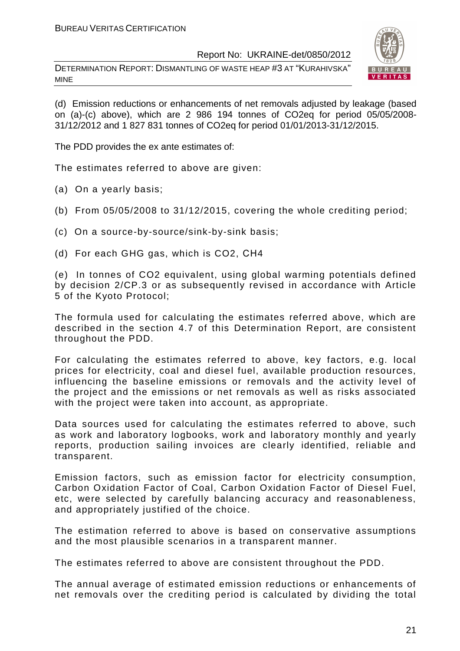DETERMINATION REPORT: DISMANTLING OF WASTE HEAP #3 AT "KURAHIVSKA" MINE



(d) Emission reductions or enhancements of net removals adjusted by leakage (based on (a)-(c) above), which are 2 986 194 tonnes of CO2eq for period 05/05/2008- 31/12/2012 and 1 827 831 tonnes of CO2eq for period 01/01/2013-31/12/2015.

The PDD provides the ex ante estimates of:

The estimates referred to above are given:

- (a) On a yearly basis;
- (b) From 05/05/2008 to 31/12/2015, covering the whole crediting period;
- (c) On a source-by-source/sink-by-sink basis;
- (d) For each GHG gas, which is CO2, СН4

(e) In tonnes of CO2 equivalent, using global warming potentials defined by decision 2/CP.3 or as subsequently revised in accordance with Article 5 of the Kyoto Protocol;

The formula used for calculating the estimates referred above, which are described in the section 4.7 of this Determination Report, are consistent throughout the PDD.

For calculating the estimates referred to above, key factors, e.g. local prices for electricity, coal and diesel fuel, available production resources, influencing the baseline emissions or removals and the activity level of the project and the emissions or net removals as well as risks associated with the project were taken into account, as appropriate.

Data sources used for calculating the estimates referred to above, such as work and laboratory logbooks, work and laboratory monthly and yearly reports, production sailing invoices are clearly identified, reliable and transparent.

Emission factors, such as emission factor for electricity consumption, Carbon Oxidation Factor of Coal, Carbon Oxidation Factor of Diesel Fuel, etc, were selected by carefully balancing accuracy and reasonableness, and appropriately justified of the choice.

The estimation referred to above is based on conservative assumptions and the most plausible scenarios in a transparent manner.

The estimates referred to above are consistent throughout the PDD.

The annual average of estimated emission reductions or enhancements of net removals over the crediting period is calculated by dividing the total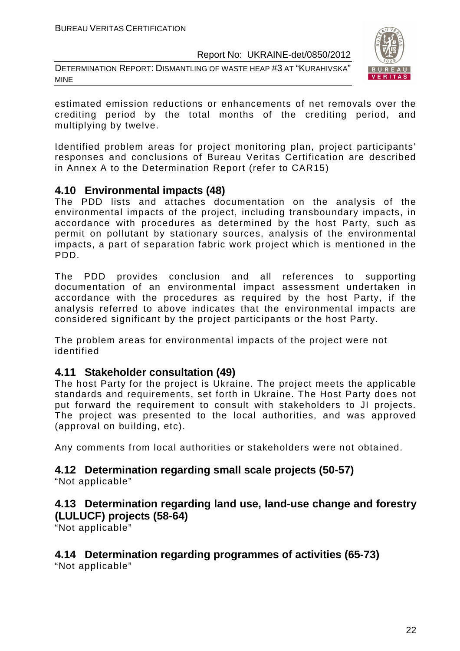DETERMINATION REPORT: DISMANTLING OF WASTE HEAP #3 AT "KURAHIVSKA" MINE



estimated emission reductions or enhancements of net removals over the crediting period by the total months of the crediting period, and multiplying by twelve.

Identified problem areas for project monitoring plan, project participants' responses and conclusions of Bureau Veritas Certification are described in Annex A to the Determination Report (refer to CAR15)

#### **4.10 Environmental impacts (48)**

The PDD lists and attaches documentation on the analysis of the environmental impacts of the project, including transboundary impacts, in accordance with procedures as determined by the host Party, such as permit on pollutant by stationary sources, analysis of the environmental impacts, a part of separation fabric work project which is mentioned in the PDD.

The PDD provides conclusion and all references to supporting documentation of an environmental impact assessment undertaken in accordance with the procedures as required by the host Party, if the analysis referred to above indicates that the environmental impacts are considered significant by the project participants or the host Party.

The problem areas for environmental impacts of the project were not identified

#### **4.11 Stakeholder consultation (49)**

The host Party for the project is Ukraine. The project meets the applicable standards and requirements, set forth in Ukraine. The Host Party does not put forward the requirement to consult with stakeholders to JI projects. The project was presented to the local authorities, and was approved (approval on building, etc).

Any comments from local authorities or stakeholders were not obtained.

#### **4.12 Determination regarding small scale projects (50-57)**

"Not applicable"

#### **4.13 Determination regarding land use, land-use change and forestry (LULUCF) projects (58-64)**

"Not applicable"

### **4.14 Determination regarding programmes of activities (65-73)**

"Not applicable"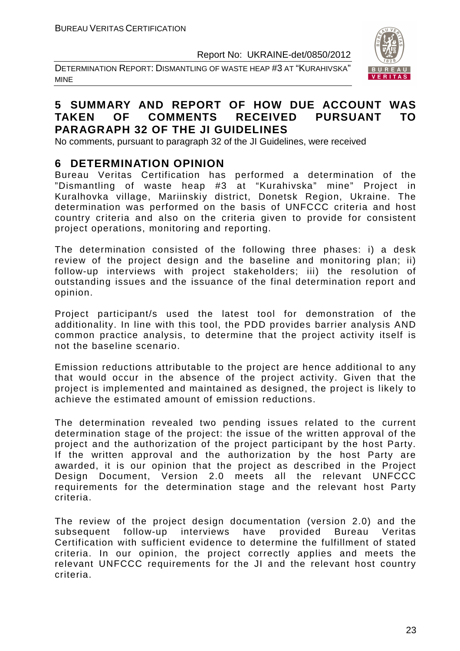DETERMINATION REPORT: DISMANTLING OF WASTE HEAP #3 AT "KURAHIVSKA" MINE



#### **5 SUMMARY AND REPORT OF HOW DUE ACCOUNT WAS TAKEN OF COMMENTS RECEIVED PURSUANT TO PARAGRAPH 32 OF THE JI GUIDELINES**

No comments, pursuant to paragraph 32 of the JI Guidelines, were received

#### **6 DETERMINATION OPINION**

Bureau Veritas Certification has performed a determination of the "Dismantling of waste heap #3 at "Kurahivska" mine" Project in Kuralhovka village, Mariinskiy district, Donetsk Region, Ukraine. The determination was performed on the basis of UNFCCC criteria and host country criteria and also on the criteria given to provide for consistent project operations, monitoring and reporting.

The determination consisted of the following three phases: i) a desk review of the project design and the baseline and monitoring plan; ii) follow-up interviews with project stakeholders; iii) the resolution of outstanding issues and the issuance of the final determination report and opinion.

Project participant/s used the latest tool for demonstration of the additionality. In line with this tool, the PDD provides barrier analysis AND common practice analysis, to determine that the project activity itself is not the baseline scenario.

Emission reductions attributable to the project are hence additional to any that would occur in the absence of the project activity. Given that the project is implemented and maintained as designed, the project is likely to achieve the estimated amount of emission reductions.

The determination revealed two pending issues related to the current determination stage of the project: the issue of the written approval of the project and the authorization of the project participant by the host Party. If the written approval and the authorization by the host Party are awarded, it is our opinion that the project as described in the Project Design Document, Version 2.0 meets all the relevant UNFCCC requirements for the determination stage and the relevant host Party criteria.

The review of the project design documentation (version 2.0) and the subsequent follow-up interviews have provided Bureau Veritas Certification with sufficient evidence to determine the fulfillment of stated criteria. In our opinion, the project correctly applies and meets the relevant UNFCCC requirements for the JI and the relevant host country criteria.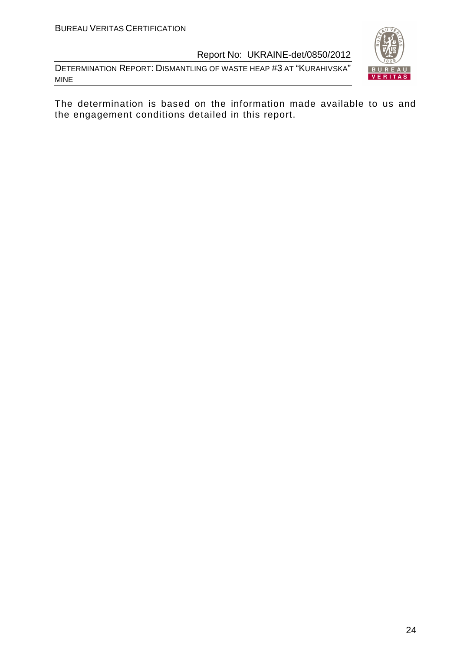DETERMINATION REPORT: DISMANTLING OF WASTE HEAP #3 AT "KURAHIVSKA" MINE



The determination is based on the information made available to us and the engagement conditions detailed in this report.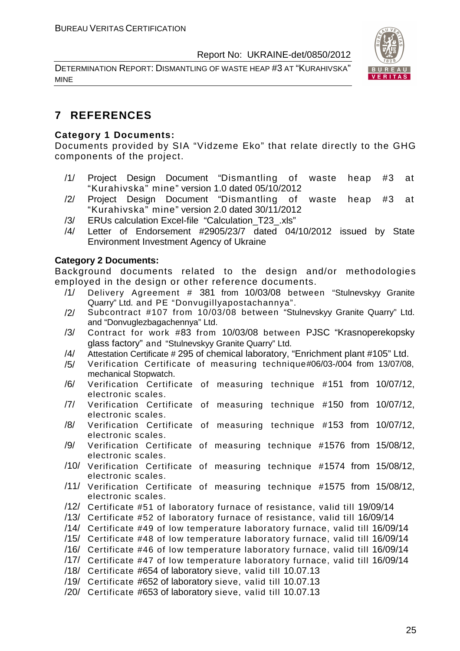DETERMINATION REPORT: DISMANTLING OF WASTE HEAP #3 AT "KURAHIVSKA" MINE



#### **7 REFERENCES**

#### **Category 1 Documents:**

Documents provided by SIA "Vidzeme Eko" that relate directly to the GHG components of the project.

- /1/ Project Design Document "Dismantling of waste heap #3 at "Kurahivska" mine" version 1.0 dated 05/10/2012
- /2/ Project Design Document "Dismantling of waste heap #3 at "Kurahivska" mine" version 2.0 dated 30/11/2012
- /3/ ERUs calculation Excel-file "Calculation\_T23\_.xls"
- /4/ Letter of Endorsement #2905/23/7 dated 04/10/2012 issued by State Environment Investment Agency of Ukraine

#### **Category 2 Documents:**

Background documents related to the design and/or methodologies employed in the design or other reference documents.

- /1/ Delivery Agreement # 381 from 10/03/08 between "Stulnevskyy Granite Quarry" Ltd. and PE "Donvugillyapostachannya".
- /2/ Subcontract #107 from 10/03/08 between "Stulnevskyy Granite Quarry" Ltd. and "Donvuglezbagachennya" Ltd.
- /3/ Contract for work #83 from 10/03/08 between PJSC "Krasnoperekopsky glass factory" and "Stulnevskyy Granite Quarry" Ltd.
- /4/ Attestation Certificate # 295 of chemical laboratory, "Enrichment plant #105" Ltd.
- /5/ Verification Certificate of measuring technique#06/03-/004 from 13/07/08, mechanical Stopwatch.
- /6/ Verification Certificate of measuring technique #151 from 10/07/12, electronic scales.
- /7/ Verification Certificate of measuring technique #150 from 10/07/12, electronic scales.
- /8/ Verification Certificate of measuring technique #153 from 10/07/12, electronic scales.
- /9/ Verification Certificate of measuring technique #1576 from 15/08/12, electronic scales.
- /10/ Verification Certificate of measuring technique #1574 from 15/08/12, electronic scales.
- /11/ Verification Certificate of measuring technique #1575 from 15/08/12, electronic scales.
- /12/ Certificate #51 of laboratory furnace of resistance, valid till 19/09/14
- /13/ Certificate #52 of laboratory furnace of resistance, valid till 16/09/14

/14/ Certificate #49 of low temperature laboratory furnace, valid till 16/09/14

- /15/ Certificate #48 of low temperature laboratory furnace, valid till 16/09/14
- /16/ Certificate #46 of low temperature laboratory furnace, valid till 16/09/14
- /17/ Certificate #47 of low temperature laboratory furnace, valid till 16/09/14
- /18/ Certificate #654 of laboratory sieve, valid till 10.07.13
- /19/ Certificate #652 of laboratory sieve, valid till 10.07.13
- /20/ Certificate #653 of laboratory sieve, valid till 10.07.13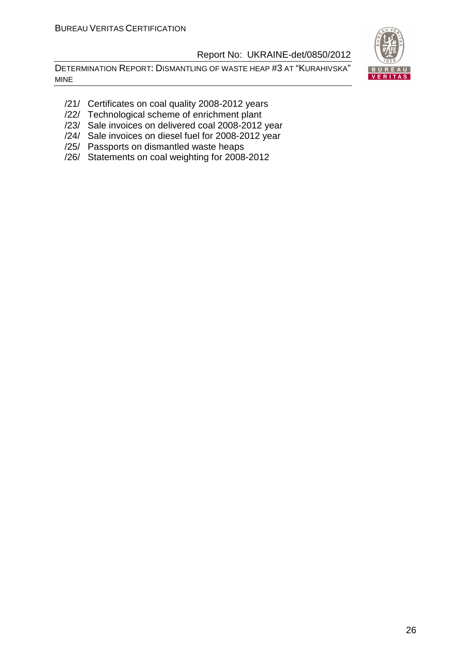DETERMINATION REPORT: DISMANTLING OF WASTE HEAP #3 AT "KURAHIVSKA" MINE



- /21/ Certificates on coal quality 2008-2012 years
- /22/ Technological scheme of enrichment plant
- /23/ Sale invoices on delivered coal 2008-2012 year
- /24/ Sale invoices on diesel fuel for 2008-2012 year
- /25/ Passports on dismantled waste heaps
- /26/ Statements on coal weighting for 2008-2012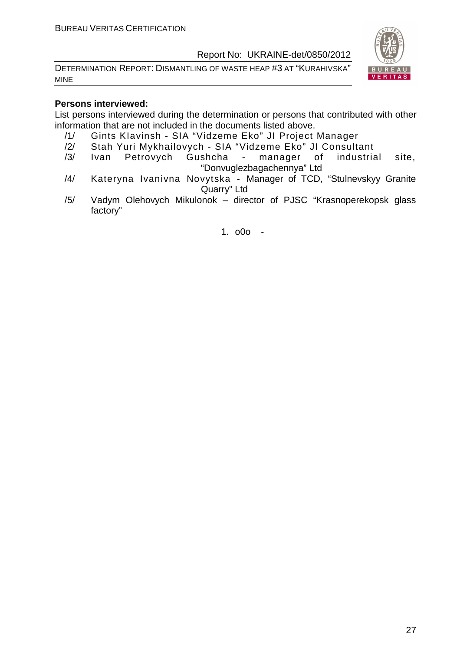DETERMINATION REPORT: DISMANTLING OF WASTE HEAP #3 AT "KURAHIVSKA" MINE



#### **Persons interviewed:**

List persons interviewed during the determination or persons that contributed with other information that are not included in the documents listed above.

- /1/ Gints KIavinsh SIA "Vidzeme Eko" JI Project Manager
- /2/ Stah Yuri Mykhailovych SIA "Vidzeme Eko" JI Consultant
- /3/ Ivan Petrovych Gushcha manager of industrial site, "Donvuglezbagachennya" Ltd
- /4/ Kateryna Ivanivna Novytska Manager of TCD, "Stulnevskyy Granite Quarry" Ltd
- /5/ Vadym Olehovych Mikulonok director of PJSC "Krasnoperekopsk glass factory"

1. o0o -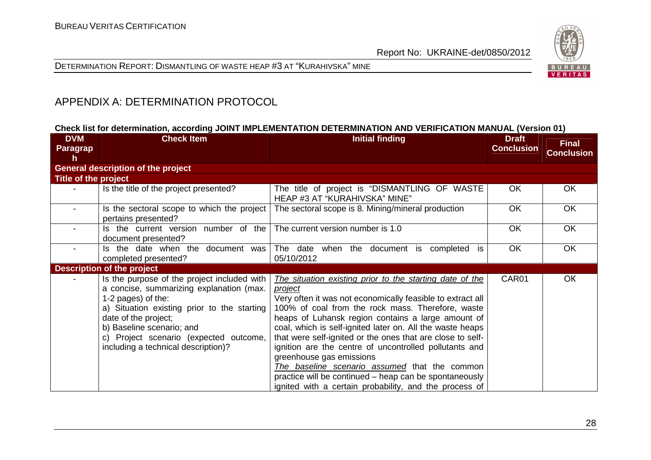



#### APPENDIX A: DETERMINATION PROTOCOL

#### **Check list for determination, according JOINT IMPLEMENTATION DETERMINATION AND VERIFICATION MANUAL (Version 01)**

| <b>DVM</b><br>Paragrap | <b>Check Item</b>                                                                                                                                                                                                                                                                                  | <b>Initial finding</b>                                                                                                                                                                                                                                                                                                                                                                                                                                                                                                                                                                                                             | <b>Draft</b><br><b>Conclusion</b> | <b>Final</b><br><b>Conclusion</b> |
|------------------------|----------------------------------------------------------------------------------------------------------------------------------------------------------------------------------------------------------------------------------------------------------------------------------------------------|------------------------------------------------------------------------------------------------------------------------------------------------------------------------------------------------------------------------------------------------------------------------------------------------------------------------------------------------------------------------------------------------------------------------------------------------------------------------------------------------------------------------------------------------------------------------------------------------------------------------------------|-----------------------------------|-----------------------------------|
| h                      | <b>General description of the project</b>                                                                                                                                                                                                                                                          |                                                                                                                                                                                                                                                                                                                                                                                                                                                                                                                                                                                                                                    |                                   |                                   |
| Title of the project   |                                                                                                                                                                                                                                                                                                    |                                                                                                                                                                                                                                                                                                                                                                                                                                                                                                                                                                                                                                    |                                   |                                   |
|                        | Is the title of the project presented?                                                                                                                                                                                                                                                             | The title of project is "DISMANTLING OF WASTE<br>HEAP #3 AT "KURAHIVSKA" MINE"                                                                                                                                                                                                                                                                                                                                                                                                                                                                                                                                                     | <b>OK</b>                         | <b>OK</b>                         |
|                        | Is the sectoral scope to which the project<br>pertains presented?                                                                                                                                                                                                                                  | The sectoral scope is 8. Mining/mineral production                                                                                                                                                                                                                                                                                                                                                                                                                                                                                                                                                                                 | <b>OK</b>                         | OK                                |
|                        | Is the current version number of the<br>document presented?                                                                                                                                                                                                                                        | The current version number is 1.0                                                                                                                                                                                                                                                                                                                                                                                                                                                                                                                                                                                                  | <b>OK</b>                         | OK                                |
|                        | Is the date when the document was<br>completed presented?                                                                                                                                                                                                                                          | The date when the document is completed is<br>05/10/2012                                                                                                                                                                                                                                                                                                                                                                                                                                                                                                                                                                           | <b>OK</b>                         | <b>OK</b>                         |
|                        | <b>Description of the project</b>                                                                                                                                                                                                                                                                  |                                                                                                                                                                                                                                                                                                                                                                                                                                                                                                                                                                                                                                    |                                   |                                   |
|                        | Is the purpose of the project included with<br>a concise, summarizing explanation (max.<br>1-2 pages) of the:<br>a) Situation existing prior to the starting<br>date of the project;<br>b) Baseline scenario; and<br>c) Project scenario (expected outcome,<br>including a technical description)? | The situation existing prior to the starting date of the<br>project<br>Very often it was not economically feasible to extract all<br>100% of coal from the rock mass. Therefore, waste<br>heaps of Luhansk region contains a large amount of<br>coal, which is self-ignited later on. All the waste heaps<br>that were self-ignited or the ones that are close to self-<br>ignition are the centre of uncontrolled pollutants and<br>greenhouse gas emissions<br>The baseline scenario assumed that the common<br>practice will be continued – heap can be spontaneously<br>ignited with a certain probability, and the process of | CAR01                             | OK                                |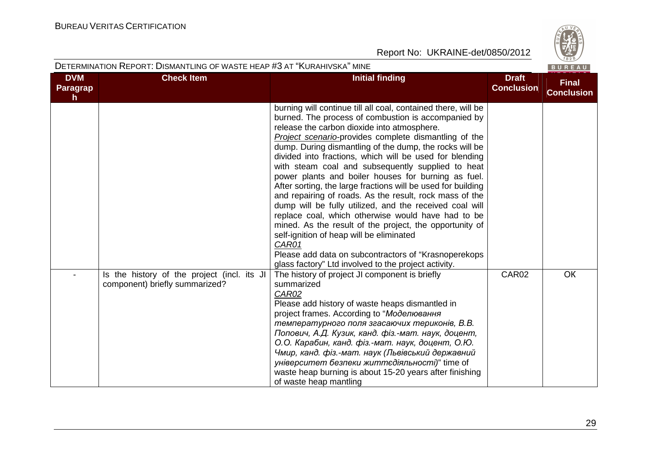

#### DETERMINATION REPORT: DISMANTLING OF WASTE HEAP #3 AT "KURAHIVSKA" MINE

| <b>DVM</b><br><b>Paragrap</b><br>h. | <b>Check Item</b>                                                             | <b>Initial finding</b>                                                                                                                                                                                                                                                                                                                                                                                                                                                                                                                                                                                                                                                                                                                                                                                                                                                                                                                      | <b>Draft</b><br><b>Conclusion</b> | <b>Final</b><br><b>Conclusion</b> |
|-------------------------------------|-------------------------------------------------------------------------------|---------------------------------------------------------------------------------------------------------------------------------------------------------------------------------------------------------------------------------------------------------------------------------------------------------------------------------------------------------------------------------------------------------------------------------------------------------------------------------------------------------------------------------------------------------------------------------------------------------------------------------------------------------------------------------------------------------------------------------------------------------------------------------------------------------------------------------------------------------------------------------------------------------------------------------------------|-----------------------------------|-----------------------------------|
|                                     |                                                                               | burning will continue till all coal, contained there, will be<br>burned. The process of combustion is accompanied by<br>release the carbon dioxide into atmosphere.<br>Project scenario-provides complete dismantling of the<br>dump. During dismantling of the dump, the rocks will be<br>divided into fractions, which will be used for blending<br>with steam coal and subsequently supplied to heat<br>power plants and boiler houses for burning as fuel.<br>After sorting, the large fractions will be used for building<br>and repairing of roads. As the result, rock mass of the<br>dump will be fully utilized, and the received coal will<br>replace coal, which otherwise would have had to be<br>mined. As the result of the project, the opportunity of<br>self-ignition of heap will be eliminated<br>CAR01<br>Please add data on subcontractors of "Krasnoperekops"<br>glass factory" Ltd involved to the project activity. |                                   |                                   |
|                                     | Is the history of the project (incl. its JI<br>component) briefly summarized? | The history of project JI component is briefly<br>summarized<br><b>CAR02</b><br>Please add history of waste heaps dismantled in<br>project frames. According to "Моделювання<br>температурного поля згасаючих териконів, В.В.<br>Попович, А.Д. Кузик, канд. фіз.-мат. наук, доцент,<br>О.О. Карабин, канд. фіз.-мат. наук, доцент, О.Ю.<br>Чмир, канд. фіз.-мат. наук (Львівський державний<br>університет безпеки життєдіяльності)" time of<br>waste heap burning is about 15-20 years after finishing<br>of waste heap mantling                                                                                                                                                                                                                                                                                                                                                                                                           | CAR02                             | <b>OK</b>                         |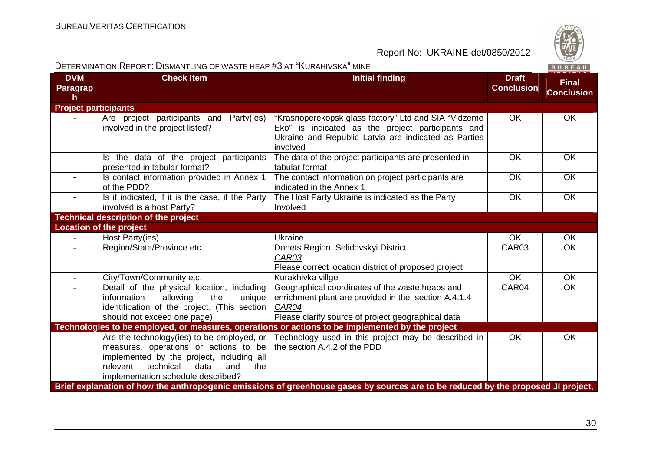

|                                        | DETERMINATION REPORT: DISMANTLING OF WASTE HEAP #3 AT "KURAHIVSKA" MINE                                                                                                                                                |                                                                                                                                                                               |                                   | BUREAU                            |
|----------------------------------------|------------------------------------------------------------------------------------------------------------------------------------------------------------------------------------------------------------------------|-------------------------------------------------------------------------------------------------------------------------------------------------------------------------------|-----------------------------------|-----------------------------------|
| <b>DVM</b><br>Paragrap<br>$\mathsf{h}$ | <b>Check Item</b>                                                                                                                                                                                                      | <b>Initial finding</b>                                                                                                                                                        | <b>Draft</b><br><b>Conclusion</b> | <b>Final</b><br><b>Conclusion</b> |
| <b>Project participants</b>            |                                                                                                                                                                                                                        |                                                                                                                                                                               |                                   |                                   |
|                                        | Are project participants and Party(ies)<br>involved in the project listed?                                                                                                                                             | "Krasnoperekopsk glass factory" Ltd and SIA "Vidzeme<br>Eko" is indicated as the project participants and<br>Ukraine and Republic Latvia are indicated as Parties<br>involved | <b>OK</b>                         | <b>OK</b>                         |
| $\sim$                                 | Is the data of the project participants<br>presented in tabular format?                                                                                                                                                | The data of the project participants are presented in<br>tabular format                                                                                                       | <b>OK</b>                         | <b>OK</b>                         |
|                                        | Is contact information provided in Annex 1<br>of the PDD?                                                                                                                                                              | The contact information on project participants are<br>indicated in the Annex 1                                                                                               | <b>OK</b>                         | <b>OK</b>                         |
|                                        | Is it indicated, if it is the case, if the Party<br>involved is a host Party?                                                                                                                                          | The Host Party Ukraine is indicated as the Party<br>Involved                                                                                                                  | OK                                | <b>OK</b>                         |
|                                        | <b>Technical description of the project</b>                                                                                                                                                                            |                                                                                                                                                                               |                                   |                                   |
|                                        | <b>Location of the project</b>                                                                                                                                                                                         |                                                                                                                                                                               |                                   |                                   |
|                                        | Host Party(ies)                                                                                                                                                                                                        | Ukraine                                                                                                                                                                       | <b>OK</b>                         | <b>OK</b>                         |
|                                        | Region/State/Province etc.                                                                                                                                                                                             | Donets Region, Selidovskyi District<br>CAR03<br>Please correct location district of proposed project                                                                          | CAR03                             | <b>OK</b>                         |
|                                        | City/Town/Community etc.                                                                                                                                                                                               | Kurakhivka villge                                                                                                                                                             | <b>OK</b>                         | <b>OK</b>                         |
|                                        | Detail of the physical location, including<br>information<br>allowing<br>the<br>unique<br>identification of the project. (This section<br>should not exceed one page)                                                  | Geographical coordinates of the waste heaps and<br>enrichment plant are provided in the section A.4.1.4<br>CAR04<br>Please clarify source of project geographical data        | CAR04                             | <b>OK</b>                         |
|                                        |                                                                                                                                                                                                                        | Technologies to be employed, or measures, operations or actions to be implemented by the project                                                                              |                                   |                                   |
|                                        | Are the technology (ies) to be employed, or<br>measures, operations or actions to be<br>implemented by the project, including all<br>relevant<br>technical<br>data<br>and<br>the<br>implementation schedule described? | Technology used in this project may be described in<br>the section A.4.2 of the PDD                                                                                           | <b>OK</b>                         | <b>OK</b>                         |
|                                        |                                                                                                                                                                                                                        | Brief explanation of how the anthropogenic emissions of greenhouse gases by sources are to be reduced by the proposed JI project,                                             |                                   |                                   |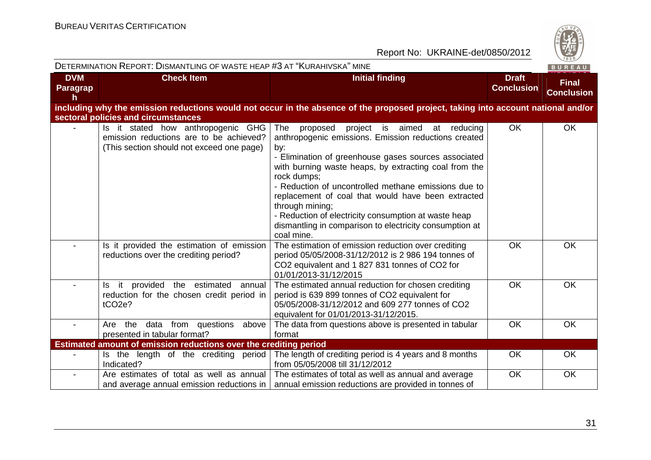

|                             | DETERMINATION REPORT: DISMANTLING OF WASTE HEAP #3 AT "KURAHIVSKA" MINE                                                    |                                                                                                                                                                                                                                                                                                                                                                                                                                                                                                                     |                                   | BUREAU                            |
|-----------------------------|----------------------------------------------------------------------------------------------------------------------------|---------------------------------------------------------------------------------------------------------------------------------------------------------------------------------------------------------------------------------------------------------------------------------------------------------------------------------------------------------------------------------------------------------------------------------------------------------------------------------------------------------------------|-----------------------------------|-----------------------------------|
| <b>DVM</b><br>Paragrap<br>h | <b>Check Item</b>                                                                                                          | <b>Initial finding</b>                                                                                                                                                                                                                                                                                                                                                                                                                                                                                              | <b>Draft</b><br><b>Conclusion</b> | <b>Final</b><br><b>Conclusion</b> |
|                             | sectoral policies and circumstances                                                                                        | including why the emission reductions would not occur in the absence of the proposed project, taking into account national and/or                                                                                                                                                                                                                                                                                                                                                                                   |                                   |                                   |
|                             | Is it stated how anthropogenic GHG<br>emission reductions are to be achieved?<br>(This section should not exceed one page) | The<br>project is aimed<br>proposed<br>at reducing<br>anthropogenic emissions. Emission reductions created<br>by:<br>- Elimination of greenhouse gases sources associated<br>with burning waste heaps, by extracting coal from the<br>rock dumps;<br>- Reduction of uncontrolled methane emissions due to<br>replacement of coal that would have been extracted<br>through mining;<br>- Reduction of electricity consumption at waste heap<br>dismantling in comparison to electricity consumption at<br>coal mine. | <b>OK</b>                         | OK                                |
|                             | Is it provided the estimation of emission<br>reductions over the crediting period?                                         | The estimation of emission reduction over crediting<br>period 05/05/2008-31/12/2012 is 2 986 194 tonnes of<br>CO2 equivalent and 1 827 831 tonnes of CO2 for<br>01/01/2013-31/12/2015                                                                                                                                                                                                                                                                                                                               | <b>OK</b>                         | OK                                |
|                             | Is it provided the estimated<br>annual<br>reduction for the chosen credit period in<br>tCO <sub>2e</sub> ?                 | The estimated annual reduction for chosen crediting<br>period is 639 899 tonnes of CO2 equivalent for<br>05/05/2008-31/12/2012 and 609 277 tonnes of CO2<br>equivalent for 01/01/2013-31/12/2015.                                                                                                                                                                                                                                                                                                                   | <b>OK</b>                         | OK                                |
|                             | data from questions above<br>Are the<br>presented in tabular format?                                                       | The data from questions above is presented in tabular<br>format                                                                                                                                                                                                                                                                                                                                                                                                                                                     | <b>OK</b>                         | <b>OK</b>                         |
|                             | Estimated amount of emission reductions over the crediting period                                                          |                                                                                                                                                                                                                                                                                                                                                                                                                                                                                                                     |                                   |                                   |
|                             | Is the length of the crediting period<br>Indicated?                                                                        | The length of crediting period is 4 years and 8 months<br>from 05/05/2008 till 31/12/2012                                                                                                                                                                                                                                                                                                                                                                                                                           | <b>OK</b>                         | <b>OK</b>                         |
| $\overline{\phantom{a}}$    | Are estimates of total as well as annual<br>and average annual emission reductions in                                      | The estimates of total as well as annual and average<br>annual emission reductions are provided in tonnes of                                                                                                                                                                                                                                                                                                                                                                                                        | <b>OK</b>                         | <b>OK</b>                         |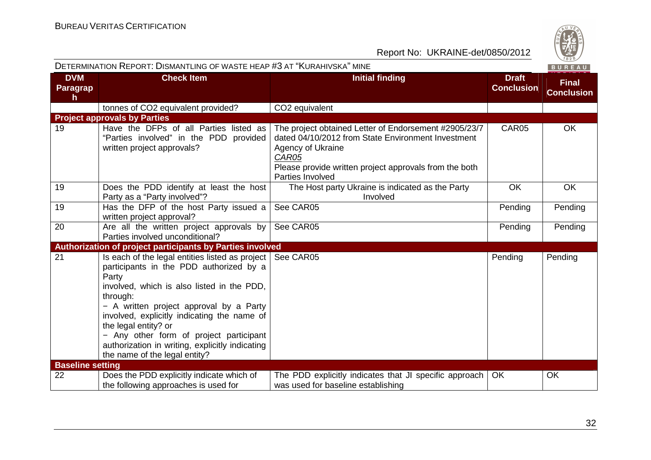|                              | DETERMINATION REPORT: DISMANTLING OF WASTE HEAP #3 AT "KURAHIVSKA" MINE                                                                                                                                                                                                                                                                                                                                                    |                                                                                                                                                                                                                         |                                   | BUREAU                            |
|------------------------------|----------------------------------------------------------------------------------------------------------------------------------------------------------------------------------------------------------------------------------------------------------------------------------------------------------------------------------------------------------------------------------------------------------------------------|-------------------------------------------------------------------------------------------------------------------------------------------------------------------------------------------------------------------------|-----------------------------------|-----------------------------------|
| <b>DVM</b><br>Paragrap<br>h. | <b>Check Item</b>                                                                                                                                                                                                                                                                                                                                                                                                          | <b>Initial finding</b>                                                                                                                                                                                                  | <b>Draft</b><br><b>Conclusion</b> | <b>Final</b><br><b>Conclusion</b> |
|                              | tonnes of CO2 equivalent provided?                                                                                                                                                                                                                                                                                                                                                                                         | CO2 equivalent                                                                                                                                                                                                          |                                   |                                   |
|                              | <b>Project approvals by Parties</b>                                                                                                                                                                                                                                                                                                                                                                                        |                                                                                                                                                                                                                         |                                   |                                   |
| 19                           | Have the DFPs of all Parties listed as<br>"Parties involved" in the PDD provided<br>written project approvals?                                                                                                                                                                                                                                                                                                             | The project obtained Letter of Endorsement #2905/23/7<br>dated 04/10/2012 from State Environment Investment<br>Agency of Ukraine<br>CAR05<br>Please provide written project approvals from the both<br>Parties Involved | CAR05                             | OK                                |
| 19                           | Does the PDD identify at least the host<br>Party as a "Party involved"?                                                                                                                                                                                                                                                                                                                                                    | The Host party Ukraine is indicated as the Party<br>Involved                                                                                                                                                            | OK                                | <b>OK</b>                         |
| 19                           | Has the DFP of the host Party issued a<br>written project approval?                                                                                                                                                                                                                                                                                                                                                        | See CAR05                                                                                                                                                                                                               | Pending                           | Pending                           |
| 20                           | Are all the written project approvals by<br>Parties involved unconditional?                                                                                                                                                                                                                                                                                                                                                | See CAR05                                                                                                                                                                                                               | Pending                           | Pending                           |
|                              | Authorization of project participants by Parties involved                                                                                                                                                                                                                                                                                                                                                                  |                                                                                                                                                                                                                         |                                   |                                   |
| 21                           | Is each of the legal entities listed as project   See CAR05<br>participants in the PDD authorized by a<br>Party<br>involved, which is also listed in the PDD,<br>through:<br>- A written project approval by a Party<br>involved, explicitly indicating the name of<br>the legal entity? or<br>- Any other form of project participant<br>authorization in writing, explicitly indicating<br>the name of the legal entity? |                                                                                                                                                                                                                         | Pending                           | Pending                           |
| <b>Baseline setting</b>      |                                                                                                                                                                                                                                                                                                                                                                                                                            |                                                                                                                                                                                                                         |                                   |                                   |
| 22                           | Does the PDD explicitly indicate which of<br>the following approaches is used for                                                                                                                                                                                                                                                                                                                                          | The PDD explicitly indicates that JI specific approach<br>was used for baseline establishing                                                                                                                            | <b>OK</b>                         | OK                                |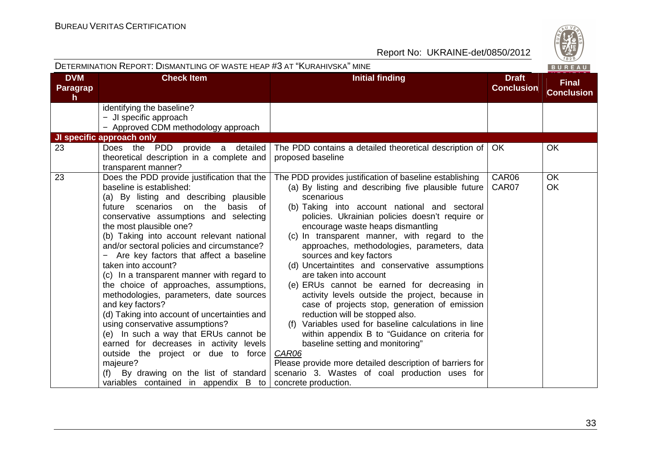|                              | DETERMINATION REPORT: DISMANTLING OF WASTE HEAP #3 AT "KURAHIVSKA" MINE                                                                                                                                                                                                                                                                                                                                                                                                                                                                                                                                                                                                                                                                                                                                                                                    |                                                                                                                                                                                                                                                                                                                                                                                                                                                                                                                                                                                                                                                                                                                                                                                                                                                                                                                                                                  |                                   | BUREAU                            |
|------------------------------|------------------------------------------------------------------------------------------------------------------------------------------------------------------------------------------------------------------------------------------------------------------------------------------------------------------------------------------------------------------------------------------------------------------------------------------------------------------------------------------------------------------------------------------------------------------------------------------------------------------------------------------------------------------------------------------------------------------------------------------------------------------------------------------------------------------------------------------------------------|------------------------------------------------------------------------------------------------------------------------------------------------------------------------------------------------------------------------------------------------------------------------------------------------------------------------------------------------------------------------------------------------------------------------------------------------------------------------------------------------------------------------------------------------------------------------------------------------------------------------------------------------------------------------------------------------------------------------------------------------------------------------------------------------------------------------------------------------------------------------------------------------------------------------------------------------------------------|-----------------------------------|-----------------------------------|
| <b>DVM</b><br>Paragrap<br>h. | <b>Check Item</b>                                                                                                                                                                                                                                                                                                                                                                                                                                                                                                                                                                                                                                                                                                                                                                                                                                          | <b>Initial finding</b>                                                                                                                                                                                                                                                                                                                                                                                                                                                                                                                                                                                                                                                                                                                                                                                                                                                                                                                                           | <b>Draft</b><br><b>Conclusion</b> | <b>Final</b><br><b>Conclusion</b> |
|                              | identifying the baseline?<br>- JI specific approach<br>- Approved CDM methodology approach                                                                                                                                                                                                                                                                                                                                                                                                                                                                                                                                                                                                                                                                                                                                                                 |                                                                                                                                                                                                                                                                                                                                                                                                                                                                                                                                                                                                                                                                                                                                                                                                                                                                                                                                                                  |                                   |                                   |
|                              | JI specific approach only                                                                                                                                                                                                                                                                                                                                                                                                                                                                                                                                                                                                                                                                                                                                                                                                                                  |                                                                                                                                                                                                                                                                                                                                                                                                                                                                                                                                                                                                                                                                                                                                                                                                                                                                                                                                                                  |                                   |                                   |
| 23                           | Does the PDD provide a detailed<br>theoretical description in a complete and<br>transparent manner?                                                                                                                                                                                                                                                                                                                                                                                                                                                                                                                                                                                                                                                                                                                                                        | The PDD contains a detailed theoretical description of<br>proposed baseline                                                                                                                                                                                                                                                                                                                                                                                                                                                                                                                                                                                                                                                                                                                                                                                                                                                                                      | OK.                               | <b>OK</b>                         |
| 23                           | Does the PDD provide justification that the<br>baseline is established:<br>(a) By listing and describing plausible<br>future scenarios on the basis of<br>conservative assumptions and selecting<br>the most plausible one?<br>(b) Taking into account relevant national<br>and/or sectoral policies and circumstance?<br>Are key factors that affect a baseline<br>taken into account?<br>(c) In a transparent manner with regard to<br>the choice of approaches, assumptions,<br>methodologies, parameters, date sources<br>and key factors?<br>(d) Taking into account of uncertainties and<br>using conservative assumptions?<br>(e) In such a way that ERUs cannot be<br>earned for decreases in activity levels<br>outside the project or due to force<br>majeure?<br>(f) By drawing on the list of standard<br>variables contained in appendix B to | The PDD provides justification of baseline establishing<br>(a) By listing and describing five plausible future<br>scenarious<br>(b) Taking into account national and sectoral<br>policies. Ukrainian policies doesn't require or<br>encourage waste heaps dismantling<br>(c) In transparent manner, with regard to the<br>approaches, methodologies, parameters, data<br>sources and key factors<br>(d) Uncertaintites and conservative assumptions<br>are taken into account<br>(e) ERUs cannot be earned for decreasing in<br>activity levels outside the project, because in<br>case of projects stop, generation of emission<br>reduction will be stopped also.<br>(f) Variables used for baseline calculations in line<br>within appendix B to "Guidance on criteria for<br>baseline setting and monitoring"<br>CAR06<br>Please provide more detailed description of barriers for<br>scenario 3. Wastes of coal production uses for<br>concrete production. | CAR06<br>CAR07                    | OK<br>OK                          |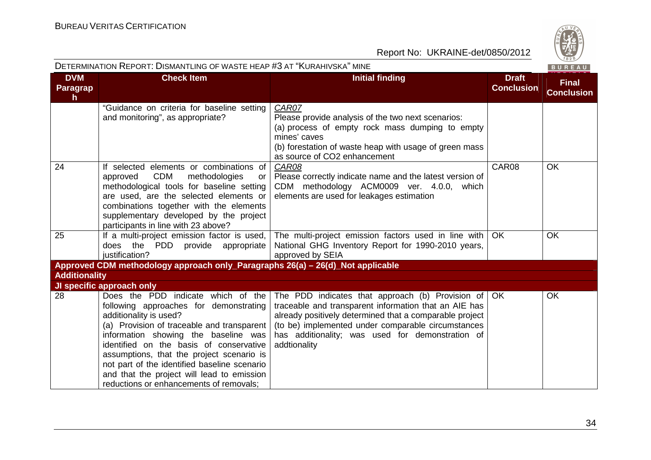

|                              | DETERMINATION REPORT: DISMANTLING OF WASTE HEAP #3 AT "KURAHIVSKA" MINE                                                                                                                                                                                                                                                                                                                                                       |                                                                                                                                                                                                                                                                                                                  |                                   | BUREAU                            |
|------------------------------|-------------------------------------------------------------------------------------------------------------------------------------------------------------------------------------------------------------------------------------------------------------------------------------------------------------------------------------------------------------------------------------------------------------------------------|------------------------------------------------------------------------------------------------------------------------------------------------------------------------------------------------------------------------------------------------------------------------------------------------------------------|-----------------------------------|-----------------------------------|
| <b>DVM</b><br>Paragrap<br>h. | <b>Check Item</b>                                                                                                                                                                                                                                                                                                                                                                                                             | <b>Initial finding</b>                                                                                                                                                                                                                                                                                           | <b>Draft</b><br><b>Conclusion</b> | <b>Final</b><br><b>Conclusion</b> |
|                              | "Guidance on criteria for baseline setting<br>and monitoring", as appropriate?                                                                                                                                                                                                                                                                                                                                                | CAR07<br>Please provide analysis of the two next scenarios:<br>(a) process of empty rock mass dumping to empty<br>mines' caves<br>(b) forestation of waste heap with usage of green mass<br>as source of CO2 enhancement                                                                                         |                                   |                                   |
| 24                           | If selected elements or combinations of<br><b>CDM</b><br>methodologies<br>approved<br>or<br>methodological tools for baseline setting<br>are used, are the selected elements or<br>combinations together with the elements<br>supplementary developed by the project<br>participants in line with 23 above?                                                                                                                   | CAR08<br>Please correctly indicate name and the latest version of<br>CDM methodology ACM0009 ver. 4.0.0, which<br>elements are used for leakages estimation                                                                                                                                                      | CAR08                             | OK                                |
| 25                           | If a multi-project emission factor is used,<br>PDD provide appropriate<br>does the<br>justification?                                                                                                                                                                                                                                                                                                                          | The multi-project emission factors used in line with<br>National GHG Inventory Report for 1990-2010 years,<br>approved by SEIA                                                                                                                                                                                   | <b>OK</b>                         | OK                                |
|                              | Approved CDM methodology approach only_Paragraphs 26(a) - 26(d)_Not applicable                                                                                                                                                                                                                                                                                                                                                |                                                                                                                                                                                                                                                                                                                  |                                   |                                   |
| <b>Additionality</b>         |                                                                                                                                                                                                                                                                                                                                                                                                                               |                                                                                                                                                                                                                                                                                                                  |                                   |                                   |
|                              | JI specific approach only                                                                                                                                                                                                                                                                                                                                                                                                     |                                                                                                                                                                                                                                                                                                                  |                                   |                                   |
| 28                           | Does the PDD indicate which of the<br>following approaches for demonstrating<br>additionality is used?<br>(a) Provision of traceable and transparent<br>information showing the baseline was<br>identified on the basis of conservative<br>assumptions, that the project scenario is<br>not part of the identified baseline scenario<br>and that the project will lead to emission<br>reductions or enhancements of removals; | The PDD indicates that approach (b) Provision of $\overline{O}$ OK<br>traceable and transparent information that an AIE has<br>already positively determined that a comparable project<br>(to be) implemented under comparable circumstances<br>has additionality; was used for demonstration of<br>addtionality |                                   | <b>OK</b>                         |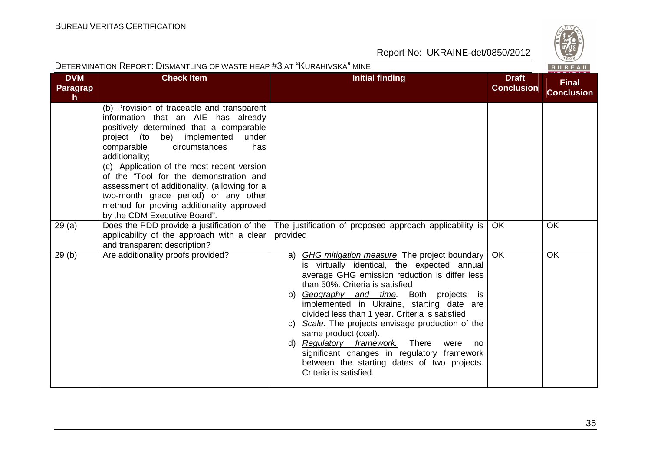|                                     | DETERMINATION REPORT: DISMANTLING OF WASTE HEAP #3 AT "KURAHIVSKA" MINE                                                                                                                                                                                                                                                                                                                                                                                                                   |                                                                                                                                                                                                                                                                                                                                                                                                                                                                                                                                                                                                      |                                   |                                   |
|-------------------------------------|-------------------------------------------------------------------------------------------------------------------------------------------------------------------------------------------------------------------------------------------------------------------------------------------------------------------------------------------------------------------------------------------------------------------------------------------------------------------------------------------|------------------------------------------------------------------------------------------------------------------------------------------------------------------------------------------------------------------------------------------------------------------------------------------------------------------------------------------------------------------------------------------------------------------------------------------------------------------------------------------------------------------------------------------------------------------------------------------------------|-----------------------------------|-----------------------------------|
| <b>DVM</b><br><b>Paragrap</b><br>h. | <b>Check Item</b>                                                                                                                                                                                                                                                                                                                                                                                                                                                                         | <b>Initial finding</b>                                                                                                                                                                                                                                                                                                                                                                                                                                                                                                                                                                               | <b>Draft</b><br><b>Conclusion</b> | <b>Final</b><br><b>Conclusion</b> |
|                                     | (b) Provision of traceable and transparent<br>information that an AIE has already<br>positively determined that a comparable<br>project (to be) implemented<br>under<br>comparable<br>circumstances<br>has<br>additionality;<br>(c) Application of the most recent version<br>of the "Tool for the demonstration and<br>assessment of additionality. (allowing for a<br>two-month grace period) or any other<br>method for proving additionality approved<br>by the CDM Executive Board". |                                                                                                                                                                                                                                                                                                                                                                                                                                                                                                                                                                                                      |                                   |                                   |
| 29(a)                               | Does the PDD provide a justification of the $ $<br>applicability of the approach with a clear<br>and transparent description?                                                                                                                                                                                                                                                                                                                                                             | The justification of proposed approach applicability is<br>provided                                                                                                                                                                                                                                                                                                                                                                                                                                                                                                                                  | OK                                | OK                                |
| 29(b)                               | Are additionality proofs provided?                                                                                                                                                                                                                                                                                                                                                                                                                                                        | <b>GHG mitigation measure.</b> The project boundary<br>a)<br>is virtually identical, the expected annual<br>average GHG emission reduction is differ less<br>than 50%. Criteria is satisfied<br>b) Geography and time. Both projects<br>is i<br>implemented in Ukraine, starting date are<br>divided less than 1 year. Criteria is satisfied<br>c) Scale. The projects envisage production of the<br>same product (coal).<br>d) Regulatory framework.<br>There<br>were<br>no<br>significant changes in regulatory framework<br>between the starting dates of two projects.<br>Criteria is satisfied. | <b>OK</b>                         | <b>OK</b>                         |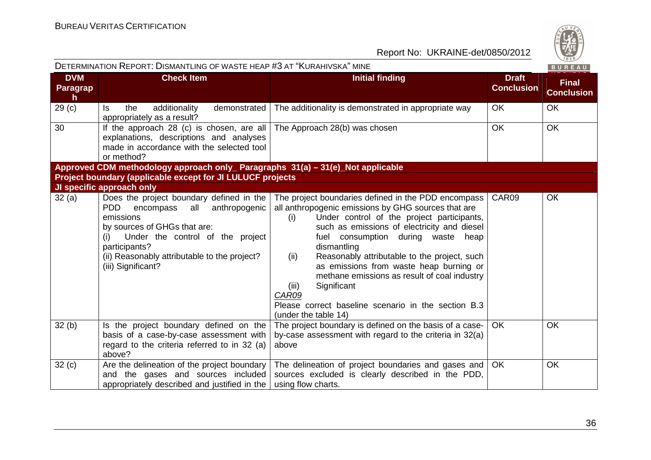| DETERMINATION REPORT: DISMANTLING OF WASTE HEAP #3 AT "KURAHIVSKA" MINE |                                                                                                                                                                                                                                                                            |                                                                                                                                                                                                                                                                                                                                                                                                                                                                                                                                        |                                   | BUREAU                            |
|-------------------------------------------------------------------------|----------------------------------------------------------------------------------------------------------------------------------------------------------------------------------------------------------------------------------------------------------------------------|----------------------------------------------------------------------------------------------------------------------------------------------------------------------------------------------------------------------------------------------------------------------------------------------------------------------------------------------------------------------------------------------------------------------------------------------------------------------------------------------------------------------------------------|-----------------------------------|-----------------------------------|
| <b>DVM</b><br>Paragrap<br>h                                             | <b>Check Item</b>                                                                                                                                                                                                                                                          | <b>Initial finding</b>                                                                                                                                                                                                                                                                                                                                                                                                                                                                                                                 | <b>Draft</b><br><b>Conclusion</b> | <b>Final</b><br><b>Conclusion</b> |
| 29 <sub>(c)</sub>                                                       | the<br>additionality<br>demonstrated<br>Is.<br>appropriately as a result?                                                                                                                                                                                                  | The additionality is demonstrated in appropriate way                                                                                                                                                                                                                                                                                                                                                                                                                                                                                   | <b>OK</b>                         | <b>OK</b>                         |
| 30                                                                      | If the approach 28 (c) is chosen, are all<br>explanations, descriptions and analyses<br>made in accordance with the selected tool<br>or method?                                                                                                                            | The Approach 28(b) was chosen                                                                                                                                                                                                                                                                                                                                                                                                                                                                                                          | <b>OK</b>                         | <b>OK</b>                         |
|                                                                         | Approved CDM methodology approach only_ Paragraphs 31(a) - 31(e)_Not applicable                                                                                                                                                                                            |                                                                                                                                                                                                                                                                                                                                                                                                                                                                                                                                        |                                   |                                   |
|                                                                         | Project boundary (applicable except for JI LULUCF projects                                                                                                                                                                                                                 |                                                                                                                                                                                                                                                                                                                                                                                                                                                                                                                                        |                                   |                                   |
|                                                                         | JI specific approach only                                                                                                                                                                                                                                                  |                                                                                                                                                                                                                                                                                                                                                                                                                                                                                                                                        |                                   |                                   |
| 32(a)                                                                   | Does the project boundary defined in the<br><b>PDD</b><br>all<br>anthropogenic<br>encompass<br>emissions<br>by sources of GHGs that are:<br>Under the control of the project<br>(i)<br>participants?<br>(ii) Reasonably attributable to the project?<br>(iii) Significant? | The project boundaries defined in the PDD encompass<br>all anthropogenic emissions by GHG sources that are<br>Under control of the project participants,<br>(i)<br>such as emissions of electricity and diesel<br>fuel consumption during waste heap<br>dismantling<br>Reasonably attributable to the project, such<br>(ii)<br>as emissions from waste heap burning or<br>methane emissions as result of coal industry<br>Significant<br>(iii)<br>CAR09<br>Please correct baseline scenario in the section B.3<br>(under the table 14) | CAR09                             | <b>OK</b>                         |
| 32(b)                                                                   | Is the project boundary defined on the<br>basis of a case-by-case assessment with<br>regard to the criteria referred to in 32 (a)<br>above?                                                                                                                                | The project boundary is defined on the basis of a case-<br>by-case assessment with regard to the criteria in 32(a)<br>above                                                                                                                                                                                                                                                                                                                                                                                                            | <b>OK</b>                         | <b>OK</b>                         |
| 32(c)                                                                   | Are the delineation of the project boundary<br>and the gases and sources included<br>appropriately described and justified in the                                                                                                                                          | The delineation of project boundaries and gases and<br>sources excluded is clearly described in the PDD,<br>using flow charts.                                                                                                                                                                                                                                                                                                                                                                                                         | OK                                | OK                                |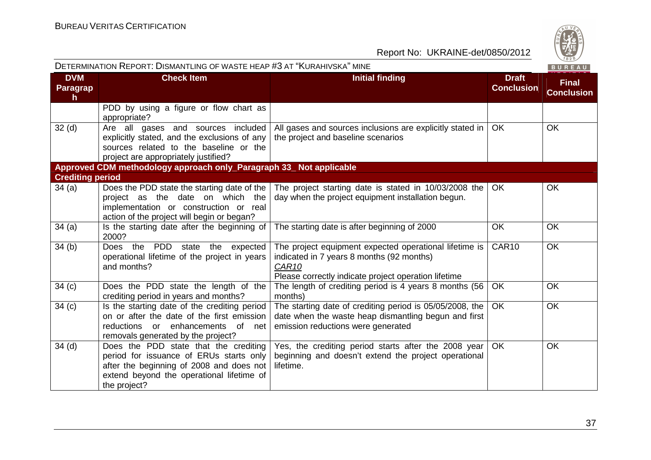| DETERMINATION REPORT: DISMANTLING OF WASTE HEAP #3 AT "KURAHIVSKA" MINE |                                                                                                                                                                                           |                                                                                                                                                                                  |                                   | BUREAU                            |
|-------------------------------------------------------------------------|-------------------------------------------------------------------------------------------------------------------------------------------------------------------------------------------|----------------------------------------------------------------------------------------------------------------------------------------------------------------------------------|-----------------------------------|-----------------------------------|
| <b>DVM</b><br>Paragrap<br>$\mathbf h$                                   | <b>Check Item</b>                                                                                                                                                                         | <b>Initial finding</b>                                                                                                                                                           | <b>Draft</b><br><b>Conclusion</b> | <b>Final</b><br><b>Conclusion</b> |
|                                                                         | PDD by using a figure or flow chart as<br>appropriate?                                                                                                                                    |                                                                                                                                                                                  |                                   |                                   |
| 32 <sub>(d)</sub>                                                       | Are all gases and sources included<br>explicitly stated, and the exclusions of any<br>sources related to the baseline or the<br>project are appropriately justified?                      | All gases and sources inclusions are explicitly stated in<br>the project and baseline scenarios                                                                                  | <b>OK</b>                         | <b>OK</b>                         |
|                                                                         | Approved CDM methodology approach only_Paragraph 33_ Not applicable                                                                                                                       |                                                                                                                                                                                  |                                   |                                   |
| <b>Crediting period</b>                                                 |                                                                                                                                                                                           |                                                                                                                                                                                  |                                   |                                   |
| 34 (a)                                                                  | Does the PDD state the starting date of the<br>project as the date on which the<br>implementation or construction or real<br>action of the project will begin or began?                   | The project starting date is stated in 10/03/2008 the<br>day when the project equipment installation begun.                                                                      | OK.                               | <b>OK</b>                         |
| 34(a)                                                                   | Is the starting date after the beginning of<br>2000?                                                                                                                                      | The starting date is after beginning of 2000                                                                                                                                     | <b>OK</b>                         | OK                                |
| 34(b)                                                                   | Does the PDD<br>state the expected<br>operational lifetime of the project in years<br>and months?                                                                                         | The project equipment expected operational lifetime is<br>indicated in 7 years 8 months (92 months)<br>CAR <sub>10</sub><br>Please correctly indicate project operation lifetime | CAR10                             | <b>OK</b>                         |
| 34(c)                                                                   | Does the PDD state the length of the<br>crediting period in years and months?                                                                                                             | The length of crediting period is 4 years 8 months (56<br>months)                                                                                                                | <b>OK</b>                         | OK                                |
| 34(c)                                                                   | Is the starting date of the crediting period<br>on or after the date of the first emission<br>enhancements<br>reductions or<br>of<br>net<br>removals generated by the project?            | The starting date of crediting period is 05/05/2008, the<br>date when the waste heap dismantling begun and first<br>emission reductions were generated                           | <b>OK</b>                         | <b>OK</b>                         |
| $34$ (d)                                                                | Does the PDD state that the crediting<br>period for issuance of ERUs starts only<br>after the beginning of 2008 and does not<br>extend beyond the operational lifetime of<br>the project? | Yes, the crediting period starts after the 2008 year<br>beginning and doesn't extend the project operational<br>lifetime.                                                        | <b>OK</b>                         | OK                                |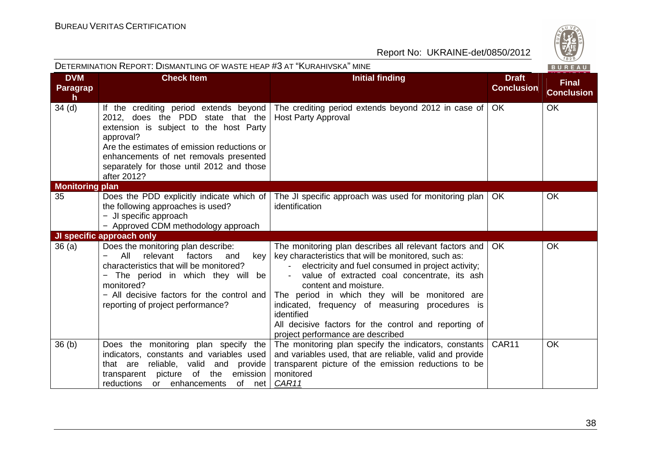| DETERMINATION REPORT: DISMANTLING OF WASTE HEAP #3 AT "KURAHIVSKA" MINE |                                                                                                                                                                                                                                                                                         |                                                                                                                                                                                                                                                                                                                                                                                                                                                                | BUREAU                            |                                   |
|-------------------------------------------------------------------------|-----------------------------------------------------------------------------------------------------------------------------------------------------------------------------------------------------------------------------------------------------------------------------------------|----------------------------------------------------------------------------------------------------------------------------------------------------------------------------------------------------------------------------------------------------------------------------------------------------------------------------------------------------------------------------------------------------------------------------------------------------------------|-----------------------------------|-----------------------------------|
| <b>DVM</b><br><b>Paragrap</b><br>h.                                     | <b>Check Item</b>                                                                                                                                                                                                                                                                       | <b>Initial finding</b>                                                                                                                                                                                                                                                                                                                                                                                                                                         | <b>Draft</b><br><b>Conclusion</b> | <b>Final</b><br><b>Conclusion</b> |
| 34 <sub>(d)</sub>                                                       | If the crediting period extends beyond<br>2012, does the PDD state that the<br>extension is subject to the host Party<br>approval?<br>Are the estimates of emission reductions or<br>enhancements of net removals presented<br>separately for those until 2012 and those<br>after 2012? | The crediting period extends beyond 2012 in case of<br><b>Host Party Approval</b>                                                                                                                                                                                                                                                                                                                                                                              | <b>OK</b>                         | OK                                |
| <b>Monitoring plan</b>                                                  |                                                                                                                                                                                                                                                                                         |                                                                                                                                                                                                                                                                                                                                                                                                                                                                |                                   |                                   |
| 35                                                                      | the following approaches is used?<br>- JI specific approach<br>- Approved CDM methodology approach                                                                                                                                                                                      | Does the PDD explicitly indicate which of The JI specific approach was used for monitoring plan<br>identification                                                                                                                                                                                                                                                                                                                                              | OK.                               | OK                                |
|                                                                         | JI specific approach only                                                                                                                                                                                                                                                               |                                                                                                                                                                                                                                                                                                                                                                                                                                                                |                                   |                                   |
| 36(a)                                                                   | Does the monitoring plan describe:<br>All<br>relevant<br>factors<br>key<br>and<br>characteristics that will be monitored?<br>The period in which they will be<br>monitored?<br>- All decisive factors for the control and<br>reporting of project performance?                          | The monitoring plan describes all relevant factors and<br>key characteristics that will be monitored, such as:<br>electricity and fuel consumed in project activity;<br>value of extracted coal concentrate, its ash<br>content and moisture.<br>The period in which they will be monitored are<br>indicated, frequency of measuring procedures is<br>identified<br>All decisive factors for the control and reporting of<br>project performance are described | <b>OK</b>                         | <b>OK</b>                         |
| 36 <sub>(b)</sub>                                                       | Does the monitoring plan specify the<br>indicators, constants and variables used<br>reliable, valid<br>that are<br>and<br>provide<br>emission<br>transparent picture<br>of<br>the<br>reductions<br>or enhancements<br>of net                                                            | The monitoring plan specify the indicators, constants<br>and variables used, that are reliable, valid and provide<br>transparent picture of the emission reductions to be<br>monitored<br>CAR11                                                                                                                                                                                                                                                                | CAR11                             | OK                                |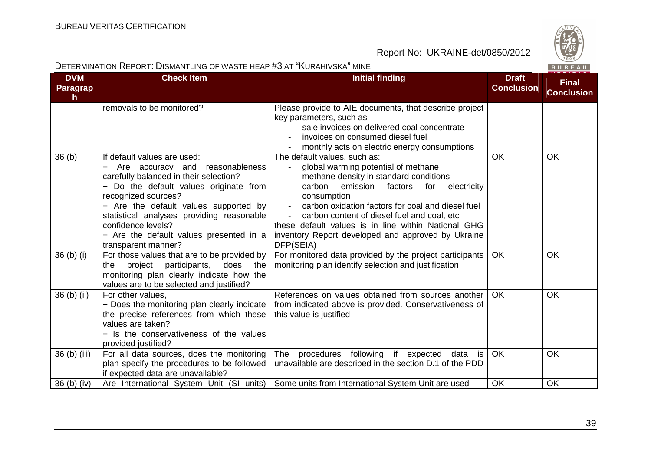

|                                        | DETERMINATION REPORT: DISMANTLING OF WASTE HEAP #3 AT "KURAHIVSKA" MINE<br>BUREAU                                                                                                                                                                                                                                                                       |                                                                                                                                                                                                                                                                                                                                                                                                                                     |                                   |                                   |
|----------------------------------------|---------------------------------------------------------------------------------------------------------------------------------------------------------------------------------------------------------------------------------------------------------------------------------------------------------------------------------------------------------|-------------------------------------------------------------------------------------------------------------------------------------------------------------------------------------------------------------------------------------------------------------------------------------------------------------------------------------------------------------------------------------------------------------------------------------|-----------------------------------|-----------------------------------|
| <b>DVM</b><br>Paragrap<br>$\mathsf{h}$ | <b>Check Item</b>                                                                                                                                                                                                                                                                                                                                       | <b>Initial finding</b>                                                                                                                                                                                                                                                                                                                                                                                                              | <b>Draft</b><br><b>Conclusion</b> | <b>Final</b><br><b>Conclusion</b> |
|                                        | removals to be monitored?                                                                                                                                                                                                                                                                                                                               | Please provide to AIE documents, that describe project<br>key parameters, such as<br>sale invoices on delivered coal concentrate<br>invoices on consumed diesel fuel<br>monthly acts on electric energy consumptions                                                                                                                                                                                                                |                                   |                                   |
| 36(b)                                  | If default values are used:<br>Are accuracy and reasonableness<br>carefully balanced in their selection?<br>- Do the default values originate from<br>recognized sources?<br>- Are the default values supported by<br>statistical analyses providing reasonable<br>confidence levels?<br>- Are the default values presented in a<br>transparent manner? | The default values, such as:<br>global warming potential of methane<br>$\blacksquare$<br>methane density in standard conditions<br>carbon<br>emission<br>electricity<br>factors<br>for<br>consumption<br>carbon oxidation factors for coal and diesel fuel<br>carbon content of diesel fuel and coal, etc<br>these default values is in line within National GHG<br>inventory Report developed and approved by Ukraine<br>DFP(SEIA) | OK                                | <b>OK</b>                         |
| 36 (b) (i)                             | For those values that are to be provided by<br>project participants,<br>does the<br>the<br>monitoring plan clearly indicate how the<br>values are to be selected and justified?                                                                                                                                                                         | For monitored data provided by the project participants<br>monitoring plan identify selection and justification                                                                                                                                                                                                                                                                                                                     | <b>OK</b>                         | OK                                |
| 36 (b) (ii)                            | For other values,<br>- Does the monitoring plan clearly indicate<br>the precise references from which these<br>values are taken?<br>- Is the conservativeness of the values<br>provided justified?                                                                                                                                                      | References on values obtained from sources another<br>from indicated above is provided. Conservativeness of<br>this value is justified                                                                                                                                                                                                                                                                                              | <b>OK</b>                         | OK                                |
| 36 (b) (iii)                           | For all data sources, does the monitoring<br>plan specify the procedures to be followed<br>if expected data are unavailable?                                                                                                                                                                                                                            | The procedures following if expected<br>data is<br>unavailable are described in the section D.1 of the PDD                                                                                                                                                                                                                                                                                                                          | OK                                | OK                                |
| 36 (b) (iv)                            |                                                                                                                                                                                                                                                                                                                                                         | Are International System Unit (SI units) Some units from International System Unit are used                                                                                                                                                                                                                                                                                                                                         | <b>OK</b>                         | OK                                |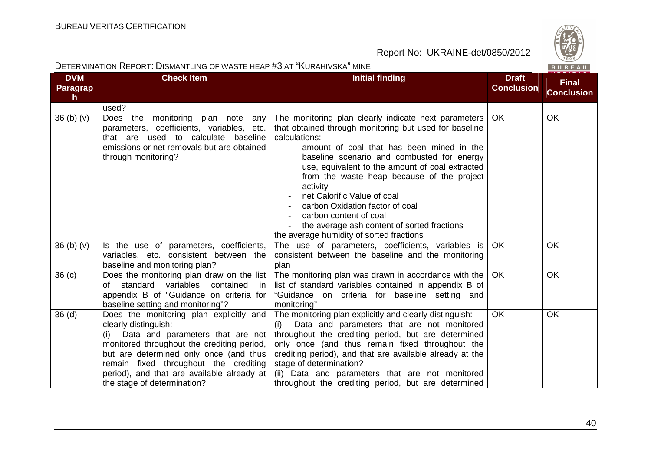

| DETERMINATION REPORT: DISMANTLING OF WASTE HEAP #3 AT "KURAHIVSKA" MINE |                                                                                                                                                                                                                                                                                                                          |                                                                                                                                                                                                                                                                                                                                                                                                                                                                                                                                |                                   | BUREAU                            |
|-------------------------------------------------------------------------|--------------------------------------------------------------------------------------------------------------------------------------------------------------------------------------------------------------------------------------------------------------------------------------------------------------------------|--------------------------------------------------------------------------------------------------------------------------------------------------------------------------------------------------------------------------------------------------------------------------------------------------------------------------------------------------------------------------------------------------------------------------------------------------------------------------------------------------------------------------------|-----------------------------------|-----------------------------------|
| <b>DVM</b><br>Paragrap<br>$\mathsf{h}$                                  | <b>Check Item</b>                                                                                                                                                                                                                                                                                                        | <b>Initial finding</b>                                                                                                                                                                                                                                                                                                                                                                                                                                                                                                         | <b>Draft</b><br><b>Conclusion</b> | <b>Final</b><br><b>Conclusion</b> |
|                                                                         | used?                                                                                                                                                                                                                                                                                                                    |                                                                                                                                                                                                                                                                                                                                                                                                                                                                                                                                |                                   |                                   |
| 36 <sub>(b)</sub> <sub>(v)</sub>                                        | Does the monitoring plan note any<br>parameters, coefficients, variables, etc.<br>that are used to calculate baseline<br>emissions or net removals but are obtained<br>through monitoring?                                                                                                                               | The monitoring plan clearly indicate next parameters<br>that obtained through monitoring but used for baseline<br>calculations:<br>amount of coal that has been mined in the<br>baseline scenario and combusted for energy<br>use, equivalent to the amount of coal extracted<br>from the waste heap because of the project<br>activity<br>net Calorific Value of coal<br>carbon Oxidation factor of coal<br>carbon content of coal<br>the average ash content of sorted fractions<br>the average humidity of sorted fractions | OK.                               | <b>OK</b>                         |
| 36 <sub>(b)</sub> <sub>(v)</sub>                                        | Is the use of parameters, coefficients,<br>variables, etc. consistent between the<br>baseline and monitoring plan?                                                                                                                                                                                                       | The use of parameters, coefficients, variables is<br>consistent between the baseline and the monitoring<br>plan                                                                                                                                                                                                                                                                                                                                                                                                                | OK                                | <b>OK</b>                         |
| 36 <sub>(c)</sub>                                                       | Does the monitoring plan draw on the list<br>of standard variables<br>contained<br>in.<br>appendix B of "Guidance on criteria for<br>baseline setting and monitoring"?                                                                                                                                                   | The monitoring plan was drawn in accordance with the<br>list of standard variables contained in appendix B of<br>"Guidance on criteria for baseline setting and<br>monitoring"                                                                                                                                                                                                                                                                                                                                                 | OK                                | OK                                |
| 36 <sub>(d)</sub>                                                       | Does the monitoring plan explicitly and<br>clearly distinguish:<br>Data and parameters that are not<br>(i)<br>monitored throughout the crediting period,<br>but are determined only once (and thus<br>remain fixed throughout the crediting<br>period), and that are available already at<br>the stage of determination? | The monitoring plan explicitly and clearly distinguish:<br>Data and parameters that are not monitored<br>(i)<br>throughout the crediting period, but are determined<br>only once (and thus remain fixed throughout the<br>crediting period), and that are available already at the<br>stage of determination?<br>(ii) Data and parameters that are not monitored<br>throughout the crediting period, but are determined                                                                                                        | <b>OK</b>                         | OK                                |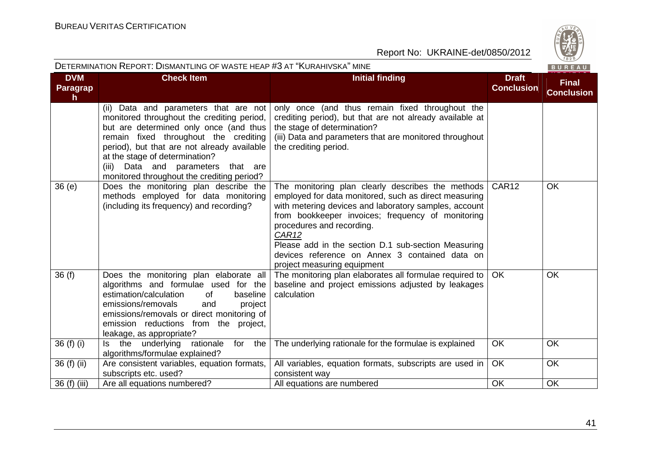

| DETERMINATION REPORT: DISMANTLING OF WASTE HEAP #3 AT "KURAHIVSKA" MINE<br>BUREAU |                                                                                                                                                                                                                                                                                                                                             |                                                                                                                                                                                                                                                                                                                                                                                                                    |                                   |                                   |
|-----------------------------------------------------------------------------------|---------------------------------------------------------------------------------------------------------------------------------------------------------------------------------------------------------------------------------------------------------------------------------------------------------------------------------------------|--------------------------------------------------------------------------------------------------------------------------------------------------------------------------------------------------------------------------------------------------------------------------------------------------------------------------------------------------------------------------------------------------------------------|-----------------------------------|-----------------------------------|
| <b>DVM</b><br>Paragrap<br>h                                                       | <b>Check Item</b>                                                                                                                                                                                                                                                                                                                           | <b>Initial finding</b>                                                                                                                                                                                                                                                                                                                                                                                             | <b>Draft</b><br><b>Conclusion</b> | <b>Final</b><br><b>Conclusion</b> |
|                                                                                   | (ii) Data and parameters that are not<br>monitored throughout the crediting period,<br>but are determined only once (and thus<br>remain fixed throughout the crediting<br>period), but that are not already available<br>at the stage of determination?<br>(iii) Data and parameters that are<br>monitored throughout the crediting period? | only once (and thus remain fixed throughout the<br>crediting period), but that are not already available at<br>the stage of determination?<br>(iii) Data and parameters that are monitored throughout<br>the crediting period.                                                                                                                                                                                     |                                   |                                   |
| 36(e)                                                                             | Does the monitoring plan describe the<br>methods employed for data monitoring<br>(including its frequency) and recording?                                                                                                                                                                                                                   | The monitoring plan clearly describes the methods<br>employed for data monitored, such as direct measuring<br>with metering devices and laboratory samples, account<br>from bookkeeper invoices; frequency of monitoring<br>procedures and recording.<br>CAR <sub>12</sub><br>Please add in the section D.1 sub-section Measuring<br>devices reference on Annex 3 contained data on<br>project measuring equipment | CAR12                             | OK                                |
| 36(f)                                                                             | Does the monitoring plan elaborate all<br>algorithms and formulae used for the<br>estimation/calculation<br>0f<br>baseline<br>emissions/removals<br>project<br>and<br>emissions/removals or direct monitoring of<br>emission reductions from the project,<br>leakage, as appropriate?                                                       | The monitoring plan elaborates all formulae required to<br>baseline and project emissions adjusted by leakages<br>calculation                                                                                                                                                                                                                                                                                      | <b>OK</b>                         | OK                                |
| 36 (f) (i)                                                                        | underlying<br>the<br>rationale<br>for<br>Is the<br>algorithms/formulae explained?                                                                                                                                                                                                                                                           | The underlying rationale for the formulae is explained                                                                                                                                                                                                                                                                                                                                                             | OK                                | <b>OK</b>                         |
| 36 (f) (ii)                                                                       | Are consistent variables, equation formats,<br>subscripts etc. used?                                                                                                                                                                                                                                                                        | All variables, equation formats, subscripts are used in<br>consistent way                                                                                                                                                                                                                                                                                                                                          | <b>OK</b>                         | <b>OK</b>                         |
| 36 (f) (iii)                                                                      | Are all equations numbered?                                                                                                                                                                                                                                                                                                                 | All equations are numbered                                                                                                                                                                                                                                                                                                                                                                                         | OK                                | OK                                |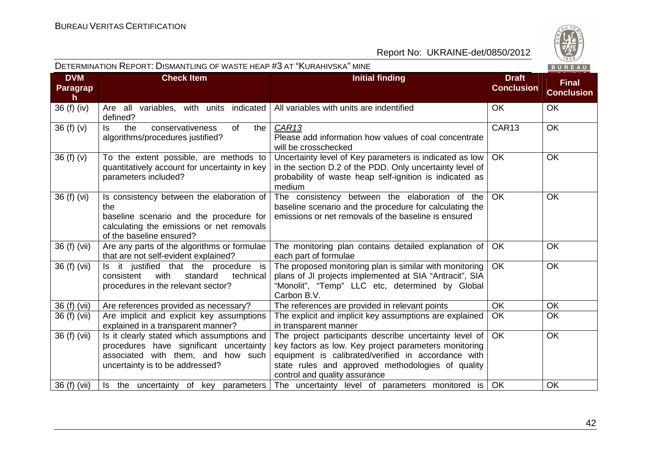

| DETERMINATION REPORT: DISMANTLING OF WASTE HEAP #3 AT "KURAHIVSKA" MINE<br>BUREAU |                                                                                                                                                                      |                                                                                                                                                                                                                                                              |                                   |                                   |
|-----------------------------------------------------------------------------------|----------------------------------------------------------------------------------------------------------------------------------------------------------------------|--------------------------------------------------------------------------------------------------------------------------------------------------------------------------------------------------------------------------------------------------------------|-----------------------------------|-----------------------------------|
| <b>DVM</b><br>Paragrap<br>h.                                                      | <b>Check Item</b>                                                                                                                                                    | <b>Initial finding</b>                                                                                                                                                                                                                                       | <b>Draft</b><br><b>Conclusion</b> | <b>Final</b><br><b>Conclusion</b> |
| 36 (f) (iv)                                                                       | Are all variables, with units indicated<br>defined?                                                                                                                  | All variables with units are indentified                                                                                                                                                                                                                     | OK                                | <b>OK</b>                         |
| 36(f)(v)                                                                          | conservativeness<br><b>of</b><br>the<br>ls.<br>the<br>algorithms/procedures justified?                                                                               | CAR13<br>Please add information how values of coal concentrate<br>will be crosschecked                                                                                                                                                                       | CAR13                             | <b>OK</b>                         |
| 36(f)(v)                                                                          | To the extent possible, are methods to<br>quantitatively account for uncertainty in key<br>parameters included?                                                      | Uncertainty level of Key parameters is indicated as low<br>in the section D.2 of the PDD. Only uncertainty level of<br>probability of waste heap self-ignition is indicated as<br>medium                                                                     | <b>OK</b>                         | <b>OK</b>                         |
| 36 (f) (vi)                                                                       | Is consistency between the elaboration of<br>the<br>baseline scenario and the procedure for<br>calculating the emissions or net removals<br>of the baseline ensured? | The consistency between the elaboration of the<br>baseline scenario and the procedure for calculating the<br>emissions or net removals of the baseline is ensured                                                                                            | <b>OK</b>                         | <b>OK</b>                         |
| 36 (f) (vii)                                                                      | Are any parts of the algorithms or formulae<br>that are not self-evident explained?                                                                                  | The monitoring plan contains detailed explanation of<br>each part of formulae                                                                                                                                                                                | OK                                | OK                                |
| 36 (f) (vii)                                                                      | Is it justified that the procedure is<br>with<br>standard<br>consistent<br>technical<br>procedures in the relevant sector?                                           | The proposed monitoring plan is similar with monitoring<br>plans of JI projects implemented at SIA "Antracit", SIA<br>"Monolit", "Temp" LLC etc, determined by Global<br>Carbon B.V.                                                                         | <b>OK</b>                         | OK.                               |
| 36 (f) (vii)                                                                      | Are references provided as necessary?                                                                                                                                | The references are provided in relevant points                                                                                                                                                                                                               | <b>OK</b>                         | <b>OK</b>                         |
| 36 (f) (vii)                                                                      | Are implicit and explicit key assumptions<br>explained in a transparent manner?                                                                                      | The explicit and implicit key assumptions are explained<br>in transparent manner                                                                                                                                                                             | OK                                | OK                                |
| 36 (f) (vii)                                                                      | Is it clearly stated which assumptions and<br>procedures have significant uncertainty<br>associated with them, and how such<br>uncertainty is to be addressed?       | The project participants describe uncertainty level of<br>key factors as low. Key project parameters monitoring<br>equipment is calibrated/verified in accordance with<br>state rules and approved methodologies of quality<br>control and quality assurance | <b>OK</b>                         | OK                                |
| 36 (f) (vii)                                                                      | Is the uncertainty of key parameters                                                                                                                                 | The uncertainty level of parameters monitored is                                                                                                                                                                                                             | OK                                | OK                                |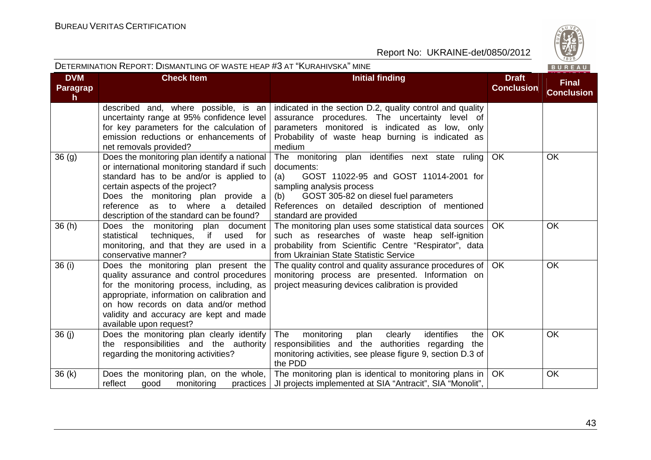

|                                    | DETERMINATION REPORT: DISMANTLING OF WASTE HEAP #3 AT "KURAHIVSKA" MINE<br>BUREAU                                                                                                                                                                                                                 |                                                                                                                                                                                                                                                                         |                                   |                                   |
|------------------------------------|---------------------------------------------------------------------------------------------------------------------------------------------------------------------------------------------------------------------------------------------------------------------------------------------------|-------------------------------------------------------------------------------------------------------------------------------------------------------------------------------------------------------------------------------------------------------------------------|-----------------------------------|-----------------------------------|
| <b>DVM</b><br><b>Paragrap</b><br>h | <b>Check Item</b>                                                                                                                                                                                                                                                                                 | <b>Initial finding</b>                                                                                                                                                                                                                                                  | <b>Draft</b><br><b>Conclusion</b> | <b>Final</b><br><b>Conclusion</b> |
|                                    | described and, where possible, is an<br>uncertainty range at 95% confidence level<br>for key parameters for the calculation of<br>emission reductions or enhancements of<br>net removals provided?                                                                                                | indicated in the section D.2, quality control and quality<br>assurance procedures. The uncertainty level of<br>parameters monitored is indicated as low, only<br>Probability of waste heap burning is indicated as<br>medium                                            |                                   |                                   |
| 36(9)                              | Does the monitoring plan identify a national<br>or international monitoring standard if such<br>standard has to be and/or is applied to<br>certain aspects of the project?<br>Does the monitoring plan provide a<br>reference as to where a detailed<br>description of the standard can be found? | The monitoring plan identifies next state ruling<br>documents:<br>GOST 11022-95 and GOST 11014-2001 for<br>(a)<br>sampling analysis process<br>GOST 305-82 on diesel fuel parameters<br>(b)<br>References on detailed description of mentioned<br>standard are provided | <b>OK</b>                         | <b>OK</b>                         |
| 36(h)                              | Does the monitoring plan document<br>techniques,<br>if<br>statistical<br>used<br>for<br>monitoring, and that they are used in a<br>conservative manner?                                                                                                                                           | The monitoring plan uses some statistical data sources<br>such as researches of waste heap self-ignition<br>probability from Scientific Centre "Respirator", data<br>from Ukrainian State Statistic Service                                                             | <b>OK</b>                         | <b>OK</b>                         |
| 36 (i)                             | Does the monitoring plan present the<br>quality assurance and control procedures<br>for the monitoring process, including, as<br>appropriate, information on calibration and<br>on how records on data and/or method<br>validity and accuracy are kept and made<br>available upon request?        | The quality control and quality assurance procedures of   OK<br>monitoring process are presented. Information on<br>project measuring devices calibration is provided                                                                                                   |                                   | <b>OK</b>                         |
| 36(j)                              | Does the monitoring plan clearly identify<br>the responsibilities and the authority<br>regarding the monitoring activities?                                                                                                                                                                       | The<br>identifies<br>monitoring<br>clearly<br>plan<br>the<br>responsibilities and the authorities regarding<br>the<br>monitoring activities, see please figure 9, section D.3 of<br>the PDD                                                                             | OK                                | <b>OK</b>                         |
| 36(k)                              | Does the monitoring plan, on the whole,<br>reflect<br>monitoring<br>good<br>practices                                                                                                                                                                                                             | The monitoring plan is identical to monitoring plans in<br>JI projects implemented at SIA "Antracit", SIA "Monolit",                                                                                                                                                    | <b>OK</b>                         | OK                                |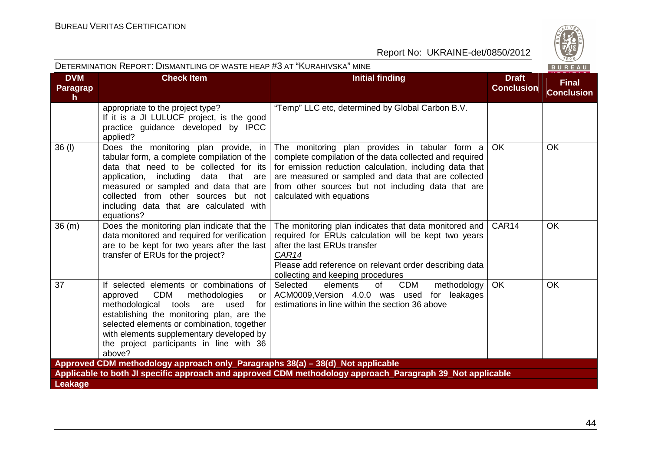

| DETERMINATION REPORT: DISMANTLING OF WASTE HEAP #3 AT "KURAHIVSKA" MINE |                                                                                                                                                                                                                                                                                                                                        |                                                                                                                                                                                                                                                                                                                |                                   | BUREAU                            |
|-------------------------------------------------------------------------|----------------------------------------------------------------------------------------------------------------------------------------------------------------------------------------------------------------------------------------------------------------------------------------------------------------------------------------|----------------------------------------------------------------------------------------------------------------------------------------------------------------------------------------------------------------------------------------------------------------------------------------------------------------|-----------------------------------|-----------------------------------|
| <b>DVM</b><br><b>Paragrap</b><br>h                                      | <b>Check Item</b>                                                                                                                                                                                                                                                                                                                      | <b>Initial finding</b>                                                                                                                                                                                                                                                                                         | <b>Draft</b><br><b>Conclusion</b> | <b>Final</b><br><b>Conclusion</b> |
|                                                                         | appropriate to the project type?<br>If it is a JI LULUCF project, is the good<br>practice guidance developed by IPCC<br>applied?                                                                                                                                                                                                       | "Temp" LLC etc, determined by Global Carbon B.V.                                                                                                                                                                                                                                                               |                                   |                                   |
| $36$ (l)                                                                | Does the monitoring plan provide, in<br>tabular form, a complete compilation of the<br>data that need to be collected for its<br>application, including<br>data that are<br>measured or sampled and data that are<br>collected from other sources but not<br>including data that are calculated with<br>equations?                     | The monitoring plan provides in tabular form a<br>complete compilation of the data collected and required<br>for emission reduction calculation, including data that<br>are measured or sampled and data that are collected<br>from other sources but not including data that are<br>calculated with equations | <b>OK</b>                         | <b>OK</b>                         |
| 36(m)                                                                   | Does the monitoring plan indicate that the<br>data monitored and required for verification<br>are to be kept for two years after the last<br>transfer of ERUs for the project?                                                                                                                                                         | The monitoring plan indicates that data monitored and   CAR14<br>required for ERUs calculation will be kept two years<br>after the last ERUs transfer<br>CAR14<br>Please add reference on relevant order describing data<br>collecting and keeping procedures                                                  |                                   | <b>OK</b>                         |
| 37                                                                      | If selected elements or combinations of<br><b>CDM</b><br>methodologies<br>approved<br>or<br>methodological<br>tools<br>are<br>used<br>for<br>establishing the monitoring plan, are the<br>selected elements or combination, together<br>with elements supplementary developed by<br>the project participants in line with 36<br>above? | Selected<br><b>CDM</b><br>elements<br>of<br>methodology<br>ACM0009, Version 4.0.0 was used<br>for leakages<br>estimations in line within the section 36 above                                                                                                                                                  | <b>OK</b>                         | OK                                |
|                                                                         | Approved CDM methodology approach only_Paragraphs 38(a) - 38(d)_Not applicable                                                                                                                                                                                                                                                         |                                                                                                                                                                                                                                                                                                                |                                   |                                   |
|                                                                         |                                                                                                                                                                                                                                                                                                                                        | Applicable to both JI specific approach and approved CDM methodology approach_Paragraph 39_Not applicable                                                                                                                                                                                                      |                                   |                                   |
| Leakage                                                                 |                                                                                                                                                                                                                                                                                                                                        |                                                                                                                                                                                                                                                                                                                |                                   |                                   |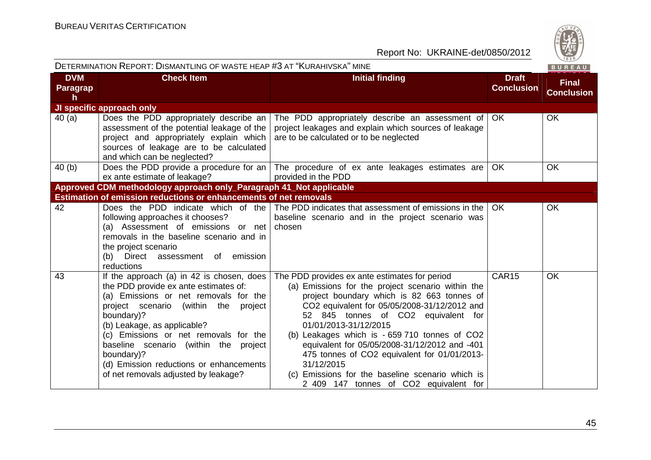

| DETERMINATION REPORT: DISMANTLING OF WASTE HEAP #3 AT "KURAHIVSKA" MINE<br>BUREAU |                                                                                                                                                                                                                                                                                                                                                                                                        |                                                                                                                                                                                                                                                                                                                                                                                                                                                                                                                                |                                   |                                   |
|-----------------------------------------------------------------------------------|--------------------------------------------------------------------------------------------------------------------------------------------------------------------------------------------------------------------------------------------------------------------------------------------------------------------------------------------------------------------------------------------------------|--------------------------------------------------------------------------------------------------------------------------------------------------------------------------------------------------------------------------------------------------------------------------------------------------------------------------------------------------------------------------------------------------------------------------------------------------------------------------------------------------------------------------------|-----------------------------------|-----------------------------------|
| <b>DVM</b><br>Paragrap<br>h                                                       | <b>Check Item</b>                                                                                                                                                                                                                                                                                                                                                                                      | <b>Initial finding</b>                                                                                                                                                                                                                                                                                                                                                                                                                                                                                                         | <b>Draft</b><br><b>Conclusion</b> | <b>Final</b><br><b>Conclusion</b> |
|                                                                                   | JI specific approach only                                                                                                                                                                                                                                                                                                                                                                              |                                                                                                                                                                                                                                                                                                                                                                                                                                                                                                                                |                                   |                                   |
| 40 (a)                                                                            | Does the PDD appropriately describe an<br>assessment of the potential leakage of the<br>project and appropriately explain which<br>sources of leakage are to be calculated<br>and which can be neglected?                                                                                                                                                                                              | The PDD appropriately describe an assessment of<br>project leakages and explain which sources of leakage<br>are to be calculated or to be neglected                                                                                                                                                                                                                                                                                                                                                                            | OK.                               | <b>OK</b>                         |
| 40 (b)                                                                            | Does the PDD provide a procedure for an $\vert$<br>ex ante estimate of leakage?                                                                                                                                                                                                                                                                                                                        | The procedure of ex ante leakages estimates are<br>provided in the PDD                                                                                                                                                                                                                                                                                                                                                                                                                                                         | <b>OK</b>                         | <b>OK</b>                         |
|                                                                                   | Approved CDM methodology approach only_Paragraph 41_Not applicable                                                                                                                                                                                                                                                                                                                                     |                                                                                                                                                                                                                                                                                                                                                                                                                                                                                                                                |                                   |                                   |
|                                                                                   | Estimation of emission reductions or enhancements of net removals                                                                                                                                                                                                                                                                                                                                      |                                                                                                                                                                                                                                                                                                                                                                                                                                                                                                                                |                                   |                                   |
| 42                                                                                | Does the PDD indicate which of the<br>following approaches it chooses?<br>(a) Assessment of emissions or net<br>removals in the baseline scenario and in<br>the project scenario<br>Direct assessment of emission<br>(b)<br>reductions                                                                                                                                                                 | The PDD indicates that assessment of emissions in the<br>baseline scenario and in the project scenario was<br>chosen                                                                                                                                                                                                                                                                                                                                                                                                           | <b>OK</b>                         | <b>OK</b>                         |
| 43                                                                                | If the approach (a) in 42 is chosen, does<br>the PDD provide ex ante estimates of:<br>(a) Emissions or net removals for the<br>project scenario (within the<br>project<br>boundary)?<br>(b) Leakage, as applicable?<br>(c) Emissions or net removals for the<br>baseline scenario (within the project<br>boundary)?<br>(d) Emission reductions or enhancements<br>of net removals adjusted by leakage? | The PDD provides ex ante estimates for period<br>(a) Emissions for the project scenario within the<br>project boundary which is 82 663 tonnes of<br>CO2 equivalent for 05/05/2008-31/12/2012 and<br>52 845 tonnes of CO2 equivalent for<br>01/01/2013-31/12/2015<br>(b) Leakages which is - 659 710 tonnes of CO2<br>equivalent for 05/05/2008-31/12/2012 and -401<br>475 tonnes of CO2 equivalent for 01/01/2013-<br>31/12/2015<br>(c) Emissions for the baseline scenario which is<br>2 409 147 tonnes of CO2 equivalent for | CAR15                             | OK                                |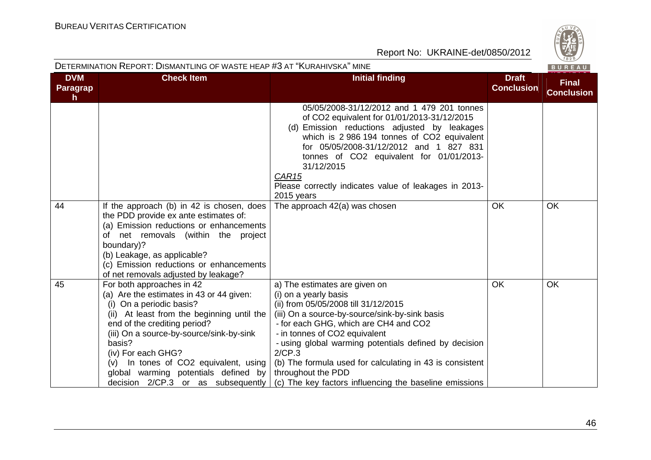| DETERMINATION REPORT: DISMANTLING OF WASTE HEAP #3 AT "KURAHIVSKA" MINE |                                                                                                                                                                                                                                                                                                                                                                                      |                                                                                                                                                                                                                                                                                                                                                                                                                                           |                                   | $\vee$ 828/<br>BUREAU             |
|-------------------------------------------------------------------------|--------------------------------------------------------------------------------------------------------------------------------------------------------------------------------------------------------------------------------------------------------------------------------------------------------------------------------------------------------------------------------------|-------------------------------------------------------------------------------------------------------------------------------------------------------------------------------------------------------------------------------------------------------------------------------------------------------------------------------------------------------------------------------------------------------------------------------------------|-----------------------------------|-----------------------------------|
| <b>DVM</b><br><b>Paragrap</b><br>h                                      | <b>Check Item</b>                                                                                                                                                                                                                                                                                                                                                                    | <b>Initial finding</b>                                                                                                                                                                                                                                                                                                                                                                                                                    | <b>Draft</b><br><b>Conclusion</b> | <b>Final</b><br><b>Conclusion</b> |
| 44                                                                      |                                                                                                                                                                                                                                                                                                                                                                                      | 05/05/2008-31/12/2012 and 1 479 201 tonnes<br>of CO2 equivalent for 01/01/2013-31/12/2015<br>(d) Emission reductions adjusted by leakages<br>which is 2 986 194 tonnes of CO2 equivalent<br>for 05/05/2008-31/12/2012 and 1 827 831<br>tonnes of CO2 equivalent for 01/01/2013-<br>31/12/2015<br>CAR <sub>15</sub><br>Please correctly indicates value of leakages in 2013-<br>2015 years                                                 | <b>OK</b>                         |                                   |
|                                                                         | If the approach (b) in 42 is chosen, does<br>the PDD provide ex ante estimates of:<br>(a) Emission reductions or enhancements<br>of net removals (within the project<br>boundary)?<br>(b) Leakage, as applicable?<br>(c) Emission reductions or enhancements<br>of net removals adjusted by leakage?                                                                                 | The approach 42(a) was chosen                                                                                                                                                                                                                                                                                                                                                                                                             |                                   | OK                                |
| 45                                                                      | For both approaches in 42<br>(a) Are the estimates in 43 or 44 given:<br>(i) On a periodic basis?<br>(ii) At least from the beginning until the<br>end of the crediting period?<br>(iii) On a source-by-source/sink-by-sink<br>basis?<br>(iv) For each GHG?<br>(v) In tones of CO2 equivalent, using<br>global warming potentials defined by<br>decision $2/CP.3$ or as subsequently | a) The estimates are given on<br>(i) on a yearly basis<br>(ii) from 05/05/2008 till 31/12/2015<br>(iii) On a source-by-source/sink-by-sink basis<br>- for each GHG, which are CH4 and CO2<br>- in tonnes of CO2 equivalent<br>- using global warming potentials defined by decision<br>2/CP.3<br>(b) The formula used for calculating in 43 is consistent<br>throughout the PDD<br>(c) The key factors influencing the baseline emissions | <b>OK</b>                         | OK                                |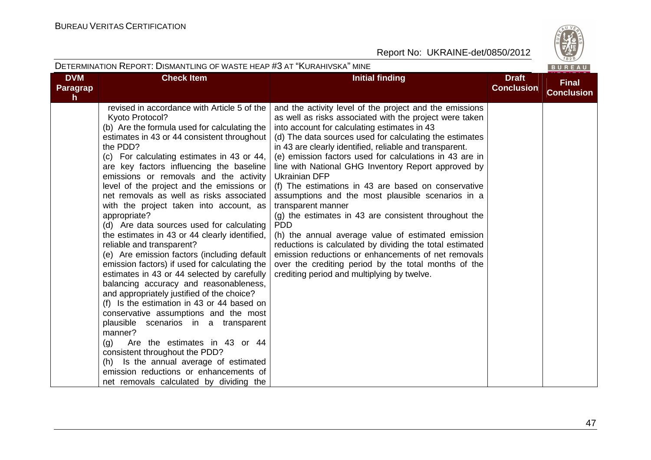

|                                        | DETERMINATION REPORT: DISMANTLING OF WASTE HEAP #3 AT "KURAHIVSKA" MINE                                                                                                                                                                                                                                                                                                                                                                                                                                                                                                                                                                                                                                                                                                                                                                                                                                                                                                                                                                                                                                                                                                                |                                                                                                                                                                                                                                                                                                                                                                                                                                                                                                                                                                                                                                                                                                                                                                                                                                                                                                                             |                                   | BUREAU                            |
|----------------------------------------|----------------------------------------------------------------------------------------------------------------------------------------------------------------------------------------------------------------------------------------------------------------------------------------------------------------------------------------------------------------------------------------------------------------------------------------------------------------------------------------------------------------------------------------------------------------------------------------------------------------------------------------------------------------------------------------------------------------------------------------------------------------------------------------------------------------------------------------------------------------------------------------------------------------------------------------------------------------------------------------------------------------------------------------------------------------------------------------------------------------------------------------------------------------------------------------|-----------------------------------------------------------------------------------------------------------------------------------------------------------------------------------------------------------------------------------------------------------------------------------------------------------------------------------------------------------------------------------------------------------------------------------------------------------------------------------------------------------------------------------------------------------------------------------------------------------------------------------------------------------------------------------------------------------------------------------------------------------------------------------------------------------------------------------------------------------------------------------------------------------------------------|-----------------------------------|-----------------------------------|
| <b>DVM</b><br>Paragrap<br>$\mathsf{h}$ | <b>Check Item</b>                                                                                                                                                                                                                                                                                                                                                                                                                                                                                                                                                                                                                                                                                                                                                                                                                                                                                                                                                                                                                                                                                                                                                                      | <b>Initial finding</b>                                                                                                                                                                                                                                                                                                                                                                                                                                                                                                                                                                                                                                                                                                                                                                                                                                                                                                      | <b>Draft</b><br><b>Conclusion</b> | <b>Final</b><br><b>Conclusion</b> |
|                                        | revised in accordance with Article 5 of the<br>Kyoto Protocol?<br>(b) Are the formula used for calculating the<br>estimates in 43 or 44 consistent throughout<br>the PDD?<br>(c) For calculating estimates in 43 or 44,<br>are key factors influencing the baseline<br>emissions or removals and the activity<br>level of the project and the emissions or<br>net removals as well as risks associated<br>with the project taken into account, as<br>appropriate?<br>(d) Are data sources used for calculating<br>the estimates in 43 or 44 clearly identified,<br>reliable and transparent?<br>(e) Are emission factors (including default<br>emission factors) if used for calculating the<br>estimates in 43 or 44 selected by carefully<br>balancing accuracy and reasonableness,<br>and appropriately justified of the choice?<br>(f) Is the estimation in 43 or 44 based on<br>conservative assumptions and the most<br>plausible scenarios in a transparent<br>manner?<br>Are the estimates in 43 or 44<br>(q)<br>consistent throughout the PDD?<br>(h) Is the annual average of estimated<br>emission reductions or enhancements of<br>net removals calculated by dividing the | and the activity level of the project and the emissions<br>as well as risks associated with the project were taken<br>into account for calculating estimates in 43<br>(d) The data sources used for calculating the estimates<br>in 43 are clearly identified, reliable and transparent.<br>(e) emission factors used for calculations in 43 are in<br>line with National GHG Inventory Report approved by<br><b>Ukrainian DFP</b><br>(f) The estimations in 43 are based on conservative<br>assumptions and the most plausible scenarios in a<br>transparent manner<br>(g) the estimates in 43 are consistent throughout the<br><b>PDD</b><br>(h) the annual average value of estimated emission<br>reductions is calculated by dividing the total estimated<br>emission reductions or enhancements of net removals<br>over the crediting period by the total months of the<br>crediting period and multiplying by twelve. |                                   |                                   |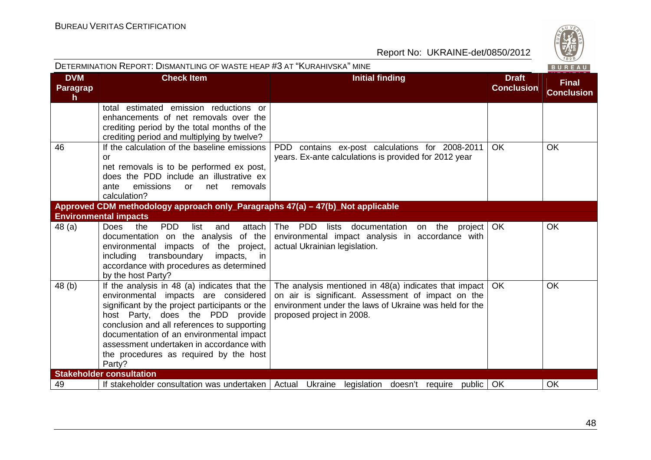| DETERMINATION REPORT: DISMANTLING OF WASTE HEAP #3 AT "KURAHIVSKA" MINE<br>BUREAU |                                                                                                                                                                                                                                                                                                                                                                       |                                                                                                                                                                                                    |                                   |                                   |  |  |
|-----------------------------------------------------------------------------------|-----------------------------------------------------------------------------------------------------------------------------------------------------------------------------------------------------------------------------------------------------------------------------------------------------------------------------------------------------------------------|----------------------------------------------------------------------------------------------------------------------------------------------------------------------------------------------------|-----------------------------------|-----------------------------------|--|--|
| <b>DVM</b><br>Paragrap<br>h.                                                      | <b>Check Item</b>                                                                                                                                                                                                                                                                                                                                                     | <b>Initial finding</b>                                                                                                                                                                             | <b>Draft</b><br><b>Conclusion</b> | <b>Final</b><br><b>Conclusion</b> |  |  |
|                                                                                   | total estimated emission reductions or<br>enhancements of net removals over the<br>crediting period by the total months of the<br>crediting period and multiplying by twelve?                                                                                                                                                                                         |                                                                                                                                                                                                    |                                   |                                   |  |  |
| 46                                                                                | If the calculation of the baseline emissions<br>or<br>net removals is to be performed ex post,<br>does the PDD include an illustrative ex<br>removals<br>ante<br>emissions<br>net<br><b>or</b><br>calculation?                                                                                                                                                        | PDD contains ex-post calculations for 2008-2011<br>years. Ex-ante calculations is provided for 2012 year                                                                                           | <b>OK</b>                         | OK                                |  |  |
|                                                                                   | Approved CDM methodology approach only_Paragraphs 47(a) - 47(b)_Not applicable                                                                                                                                                                                                                                                                                        |                                                                                                                                                                                                    |                                   |                                   |  |  |
|                                                                                   | <b>Environmental impacts</b>                                                                                                                                                                                                                                                                                                                                          |                                                                                                                                                                                                    |                                   |                                   |  |  |
| 48 (a)                                                                            | <b>Does</b><br><b>PDD</b><br>the<br>list<br>attach  <br>and<br>documentation on the analysis<br>of the<br>environmental impacts of the project,<br>transboundary<br>impacts,<br>including<br>in in<br>accordance with procedures as determined<br>by the host Party?                                                                                                  | The PDD<br>lists<br>documentation<br>on the<br>project<br>environmental impact analysis in accordance with<br>actual Ukrainian legislation.                                                        | <b>OK</b>                         | OK                                |  |  |
| 48 (b)                                                                            | If the analysis in 48 (a) indicates that the<br>environmental impacts are considered<br>significant by the project participants or the<br>host Party, does the PDD provide<br>conclusion and all references to supporting<br>documentation of an environmental impact<br>assessment undertaken in accordance with<br>the procedures as required by the host<br>Party? | The analysis mentioned in 48(a) indicates that impact<br>on air is significant. Assessment of impact on the<br>environment under the laws of Ukraine was held for the<br>proposed project in 2008. | OK.                               | <b>OK</b>                         |  |  |
|                                                                                   | <b>Stakeholder consultation</b>                                                                                                                                                                                                                                                                                                                                       |                                                                                                                                                                                                    |                                   |                                   |  |  |
| 49                                                                                |                                                                                                                                                                                                                                                                                                                                                                       | If stakeholder consultation was undertaken   Actual Ukraine legislation doesn't require public                                                                                                     | OK                                | OK                                |  |  |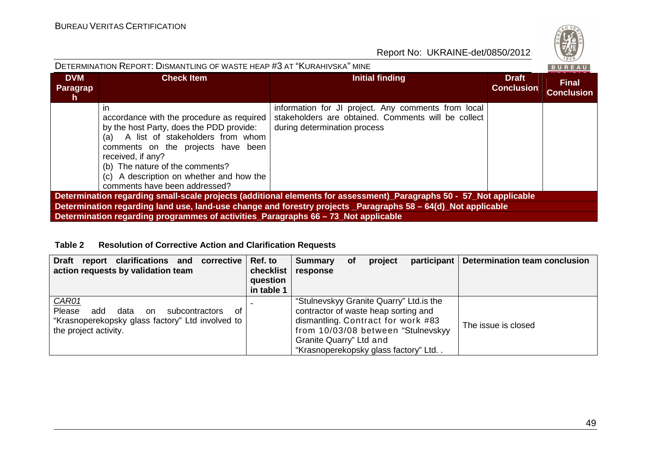| DETERMINATION REPORT: DISMANTLING OF WASTE HEAP #3 AT "KURAHIVSKA" MINE                                                                                                                                                                                                                                                    |                                                                                                                                                                                                                                                                                                                          |                                                                                                                                            |                                   |                                   |  |  |  |
|----------------------------------------------------------------------------------------------------------------------------------------------------------------------------------------------------------------------------------------------------------------------------------------------------------------------------|--------------------------------------------------------------------------------------------------------------------------------------------------------------------------------------------------------------------------------------------------------------------------------------------------------------------------|--------------------------------------------------------------------------------------------------------------------------------------------|-----------------------------------|-----------------------------------|--|--|--|
| <b>DVM</b><br>Paragrap<br>h.                                                                                                                                                                                                                                                                                               | <b>Check Item</b>                                                                                                                                                                                                                                                                                                        | Initial finding                                                                                                                            | <b>Draft</b><br><b>Conclusion</b> | <b>Final</b><br><b>Conclusion</b> |  |  |  |
|                                                                                                                                                                                                                                                                                                                            | <i>in</i><br>accordance with the procedure as required<br>by the host Party, does the PDD provide:<br>A list of stakeholders from whom<br>(a)<br>comments on the projects have been<br>received, if any?<br>(b) The nature of the comments?<br>(c) A description on whether and how the<br>comments have been addressed? | information for JI project. Any comments from local<br>stakeholders are obtained. Comments will be collect<br>during determination process |                                   |                                   |  |  |  |
| Determination regarding small-scale projects (additional elements for assessment)_Paragraphs 50 - 57_Not applicable<br>Determination regarding land use, land-use change and forestry projects _Paragraphs 58 – 64(d) Not applicable<br>Determination regarding programmes of activities_Paragraphs 66 - 73_Not applicable |                                                                                                                                                                                                                                                                                                                          |                                                                                                                                            |                                   |                                   |  |  |  |

#### **Table 2 Resolution of Corrective Action and Clarification Requests**

| clarifications and<br><b>Draft</b><br>corrective  <br>report<br>action requests by validation team                                         | Ref. to<br>checklist<br>question<br>in table 1 | <b>Summary</b><br>response                                                                                                                                                                                                       | Οf | project | participant | <b>Determination team conclusion</b> |
|--------------------------------------------------------------------------------------------------------------------------------------------|------------------------------------------------|----------------------------------------------------------------------------------------------------------------------------------------------------------------------------------------------------------------------------------|----|---------|-------------|--------------------------------------|
| CAR01<br>Please<br>add<br>data<br>subcontractors<br>∩f<br>on.<br>"Krasnoperekopsky glass factory" Ltd involved to<br>the project activity. |                                                | "Stulnevskyy Granite Quarry" Ltd. is the<br>contractor of waste heap sorting and<br>dismantling. Contract for work #83<br>from 10/03/08 between "Stulnevskyy"<br>Granite Quarry" Ltd and<br>"Krasnoperekopsky glass factory" Ltd |    |         |             | The issue is closed                  |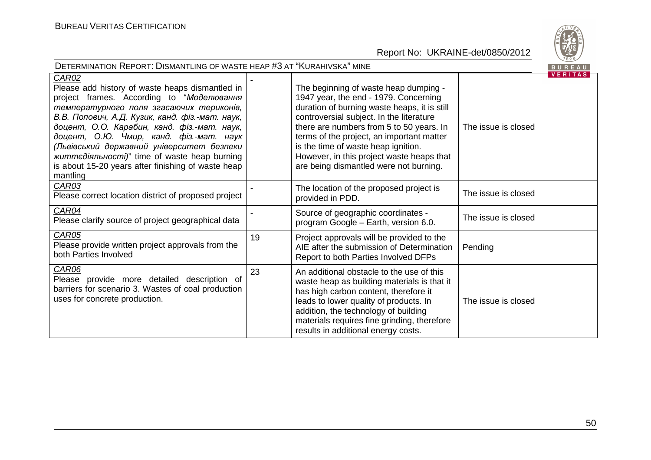

| DETERMINATION REPORT: DISMANTLING OF WASTE HEAP #3 AT "KURAHIVSKA" MINE                                                                                                                                                                                                                                                                                                                                                                                                      |    |                                                                                                                                                                                                                                                                                                                                                                                                   |                     |         |
|------------------------------------------------------------------------------------------------------------------------------------------------------------------------------------------------------------------------------------------------------------------------------------------------------------------------------------------------------------------------------------------------------------------------------------------------------------------------------|----|---------------------------------------------------------------------------------------------------------------------------------------------------------------------------------------------------------------------------------------------------------------------------------------------------------------------------------------------------------------------------------------------------|---------------------|---------|
| <b>CAR02</b><br>Please add history of waste heaps dismantled in<br>project frames. According to "Моделювання<br>температурного поля згасаючих териконів,<br>В.В. Попович, А.Д. Кузик, канд. фіз.-мат. наук,<br>доцент, О.О. Карабин, канд. фіз.-мат. наук,<br>доцент, О.Ю. Чмир, канд. фіз.-мат. наук<br>(Львівський державний університет безпеки<br><i>життедіяльності)</i> " time of waste heap burning<br>is about 15-20 years after finishing of waste heap<br>mantling |    | The beginning of waste heap dumping -<br>1947 year, the end - 1979. Concerning<br>duration of burning waste heaps, it is still<br>controversial subject. In the literature<br>there are numbers from 5 to 50 years. In<br>terms of the project, an important matter<br>is the time of waste heap ignition.<br>However, in this project waste heaps that<br>are being dismantled were not burning. | The issue is closed | VERIIAS |
| <b>CAR03</b><br>Please correct location district of proposed project                                                                                                                                                                                                                                                                                                                                                                                                         |    | The location of the proposed project is<br>provided in PDD.                                                                                                                                                                                                                                                                                                                                       | The issue is closed |         |
| CAR04<br>Please clarify source of project geographical data                                                                                                                                                                                                                                                                                                                                                                                                                  |    | Source of geographic coordinates -<br>program Google - Earth, version 6.0.                                                                                                                                                                                                                                                                                                                        | The issue is closed |         |
| CAR05<br>Please provide written project approvals from the<br>both Parties Involved                                                                                                                                                                                                                                                                                                                                                                                          | 19 | Project approvals will be provided to the<br>AIE after the submission of Determination<br>Report to both Parties Involved DFPs                                                                                                                                                                                                                                                                    | Pending             |         |
| <b>CAR06</b><br>Please provide more detailed description of<br>barriers for scenario 3. Wastes of coal production<br>uses for concrete production.                                                                                                                                                                                                                                                                                                                           | 23 | An additional obstacle to the use of this<br>waste heap as building materials is that it<br>has high carbon content, therefore it<br>leads to lower quality of products. In<br>addition, the technology of building<br>materials requires fine grinding, therefore<br>results in additional energy costs.                                                                                         | The issue is closed |         |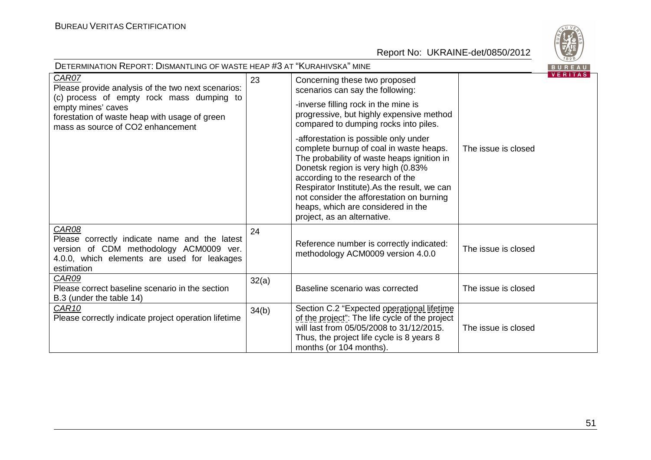

| DETERMINATION REPORT: DISMANTLING OF WASTE HEAP #3 AT "KURAHIVSKA" MINE                                                                                                                                              |       |                                                                                                                                                                                                                                                                                                                                                                           |                     |                |
|----------------------------------------------------------------------------------------------------------------------------------------------------------------------------------------------------------------------|-------|---------------------------------------------------------------------------------------------------------------------------------------------------------------------------------------------------------------------------------------------------------------------------------------------------------------------------------------------------------------------------|---------------------|----------------|
| CAR07<br>Please provide analysis of the two next scenarios:<br>(c) process of empty rock mass dumping to<br>empty mines' caves<br>forestation of waste heap with usage of green<br>mass as source of CO2 enhancement | 23    | Concerning these two proposed<br>scenarios can say the following:                                                                                                                                                                                                                                                                                                         |                     | <b>VERITAS</b> |
|                                                                                                                                                                                                                      |       | -inverse filling rock in the mine is<br>progressive, but highly expensive method<br>compared to dumping rocks into piles.                                                                                                                                                                                                                                                 |                     |                |
|                                                                                                                                                                                                                      |       | -afforestation is possible only under<br>complete burnup of coal in waste heaps.<br>The probability of waste heaps ignition in<br>Donetsk region is very high (0.83%<br>according to the research of the<br>Respirator Institute).As the result, we can<br>not consider the afforestation on burning<br>heaps, which are considered in the<br>project, as an alternative. | The issue is closed |                |
| <b>CAR08</b><br>Please correctly indicate name and the latest<br>version of CDM methodology ACM0009 ver.<br>4.0.0, which elements are used for leakages<br>estimation                                                | 24    | Reference number is correctly indicated:<br>methodology ACM0009 version 4.0.0                                                                                                                                                                                                                                                                                             | The issue is closed |                |
| CAR09<br>Please correct baseline scenario in the section<br>B.3 (under the table 14)                                                                                                                                 | 32(a) | Baseline scenario was corrected                                                                                                                                                                                                                                                                                                                                           | The issue is closed |                |
| <b>CAR10</b><br>Please correctly indicate project operation lifetime                                                                                                                                                 | 34(b) | Section C.2 "Expected operational lifetime<br>of the project": The life cycle of the project<br>will last from 05/05/2008 to 31/12/2015.<br>Thus, the project life cycle is 8 years 8<br>months (or 104 months).                                                                                                                                                          | The issue is closed |                |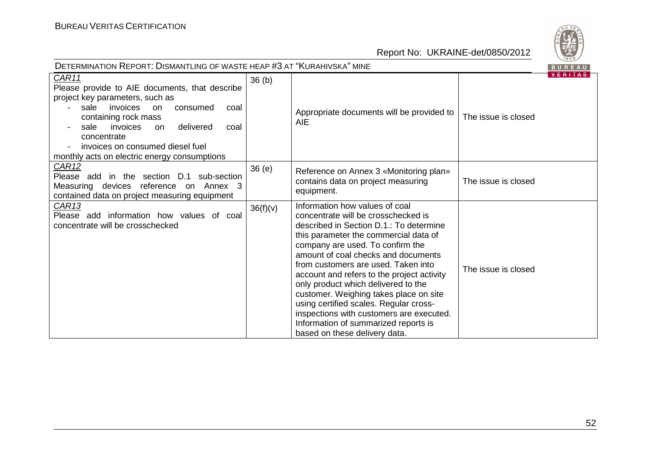

| DETERMINATION REPORT: DISMANTLING OF WASTE HEAP #3 AT "KURAHIVSKA" MINE<br>BUREAU                                                                                                                                                                                                                                      |                   |                                                                                                                                                                                                                                                                                                                                                                                                                                                                                                                                                                           |                     |                |  |
|------------------------------------------------------------------------------------------------------------------------------------------------------------------------------------------------------------------------------------------------------------------------------------------------------------------------|-------------------|---------------------------------------------------------------------------------------------------------------------------------------------------------------------------------------------------------------------------------------------------------------------------------------------------------------------------------------------------------------------------------------------------------------------------------------------------------------------------------------------------------------------------------------------------------------------------|---------------------|----------------|--|
| CAR11<br>Please provide to AIE documents, that describe<br>project key parameters, such as<br>sale invoices<br>consumed<br>on<br>coal<br>containing rock mass<br>invoices<br>delivered<br>sale<br><b>on</b><br>coal<br>concentrate<br>invoices on consumed diesel fuel<br>monthly acts on electric energy consumptions | 36 <sub>(b)</sub> | Appropriate documents will be provided to<br><b>AIE</b>                                                                                                                                                                                                                                                                                                                                                                                                                                                                                                                   | The issue is closed | <b>VERITAS</b> |  |
| <u>CAR12</u><br>Please add in the section D.1 sub-section<br>Measuring devices reference on Annex 3<br>contained data on project measuring equipment                                                                                                                                                                   | 36(e)             | Reference on Annex 3 «Monitoring plan»<br>contains data on project measuring<br>equipment.                                                                                                                                                                                                                                                                                                                                                                                                                                                                                | The issue is closed |                |  |
| CAR <sub>13</sub><br>Please add information how values of coal<br>concentrate will be crosschecked                                                                                                                                                                                                                     | 36(f)(v)          | Information how values of coal<br>concentrate will be crosschecked is<br>described in Section D.1.: To determine<br>this parameter the commercial data of<br>company are used. To confirm the<br>amount of coal checks and documents<br>from customers are used. Taken into<br>account and refers to the project activity<br>only product which delivered to the<br>customer. Weighing takes place on site<br>using certified scales. Regular cross-<br>inspections with customers are executed.<br>Information of summarized reports is<br>based on these delivery data. | The issue is closed |                |  |